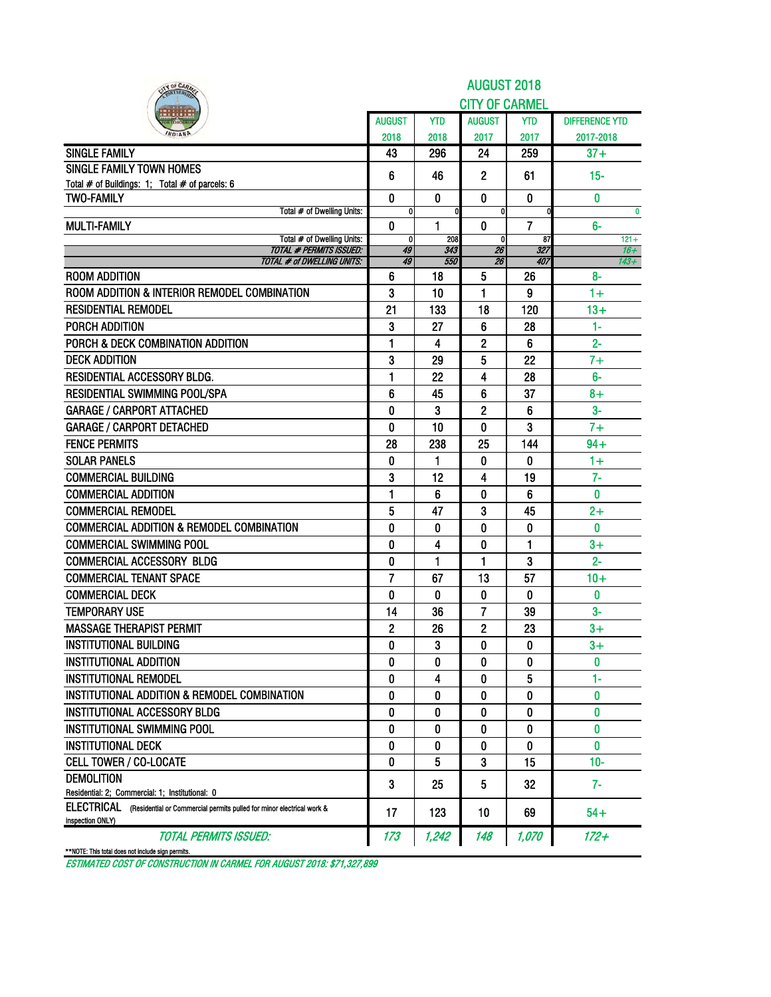| IN OF CARA                                                                                              |                |            | <b>AUGUST 2018</b>    |                |                       |
|---------------------------------------------------------------------------------------------------------|----------------|------------|-----------------------|----------------|-----------------------|
|                                                                                                         |                |            | <b>CITY OF CARMEL</b> |                |                       |
|                                                                                                         | August         | <b>YTD</b> | <b>AUGUST</b>         | <b>YTD</b>     | <b>DIFFERENCE YTD</b> |
|                                                                                                         | 2018           | 2018       | 2017                  | 2017           | 2017-2018             |
| <b>SINGLE FAMILY</b>                                                                                    | 43             | 296        | 24                    | 259            | $37 +$                |
| <b>SINGLE FAMILY TOWN HOMES</b>                                                                         | 6              | 46         | $\mathbf{2}$          | 61             | $15 -$                |
| Total # of Buildings: 1; Total # of parcels: 6                                                          |                |            |                       |                |                       |
| <b>TWO-FAMILY</b>                                                                                       | 0              | $\bf{0}$   | 0                     | $\bf{0}$       | $\bf{0}$              |
| Total # of Dwelling Units:                                                                              | 0<br>0         | 1          | 0<br>0                | $\overline{7}$ | $\bf{0}$<br>6-        |
| <b>MULTI-FAMILY</b><br>Total # of Dwelling Units:                                                       | 0              | 208        | 0                     | 87             | $121 +$               |
| <b>TOTAL # PERMITS ISSUED:</b>                                                                          | 49             | 343        | 26                    | 327            | $16 +$                |
| <b>TOTAL # of DWELLING UNITS:</b>                                                                       | 49             | 550        | 26                    | 407            | $143+$                |
| <b>ROOM ADDITION</b>                                                                                    | 6              | 18         | 5                     | 26             | $8-$                  |
| ROOM ADDITION & INTERIOR REMODEL COMBINATION                                                            | 3              | 10         | 1                     | 9              | $1+$                  |
| <b>RESIDENTIAL REMODEL</b>                                                                              | 21             | 133        | 18                    | 120            | $13+$                 |
| PORCH ADDITION                                                                                          | 3              | 27         | 6                     | 28             | $1-$                  |
| PORCH & DECK COMBINATION ADDITION                                                                       | 1              | 4          | 2                     | 6              | $2 -$                 |
| <b>DECK ADDITION</b>                                                                                    | 3              | 29         | 5                     | 22             | $7+$                  |
| RESIDENTIAL ACCESSORY BLDG.                                                                             | 1              | 22         | 4                     | 28             | $6-$                  |
| <b>RESIDENTIAL SWIMMING POOL/SPA</b>                                                                    | 6              | 45         | 6                     | 37             | $8+$                  |
| <b>GARAGE / CARPORT ATTACHED</b>                                                                        | 0              | 3          | 2                     | 6              | $3-$                  |
| <b>GARAGE / CARPORT DETACHED</b>                                                                        | 0              | 10         | 0                     | 3              | $7+$                  |
| <b>FENCE PERMITS</b>                                                                                    | 28             | 238        | 25                    | 144            | $94 +$                |
| <b>SOLAR PANELS</b>                                                                                     | 0              | 1          | 0                     | 0              | $1+$                  |
| <b>COMMERCIAL BUILDING</b>                                                                              | 3              | 12         | 4                     | 19             | $7-$                  |
| <b>COMMERCIAL ADDITION</b>                                                                              | 1              | 6          | 0                     | 6              | 0                     |
| <b>COMMERCIAL REMODEL</b>                                                                               | 5              | 47         | 3                     | 45             | $2+$                  |
| <b>COMMERCIAL ADDITION &amp; REMODEL COMBINATION</b>                                                    | 0              | 0          | 0                     | 0              | 0                     |
| <b>COMMERCIAL SWIMMING POOL</b>                                                                         | 0              | 4          | 0                     | 1              | $3+$                  |
| <b>COMMERCIAL ACCESSORY BLDG</b>                                                                        | 0              | 1          | 1                     | 3              | $2 -$                 |
| <b>COMMERCIAL TENANT SPACE</b>                                                                          | $\overline{7}$ | 67         | 13                    | 57             | $10+$                 |
| <b>COMMERCIAL DECK</b>                                                                                  | 0              | 0          | 0                     | 0              | 0                     |
| <b>TEMPORARY USE</b>                                                                                    | 14             | 36         | 7                     | 39             | $3-$                  |
| <b>MASSAGE THERAPIST PERMIT</b>                                                                         | $\mathbf{2}$   | 26         | 2                     | 23             | $3+$                  |
| <b>INSTITUTIONAL BUILDING</b>                                                                           | 0              | 3          | 0                     | 0              | $3+$                  |
| <b>INSTITUTIONAL ADDITION</b>                                                                           | 0              | 0          | 0                     | 0              | 0                     |
| <b>INSTITUTIONAL REMODEL</b>                                                                            | 0              | 4          | 0                     | 5              | 1-                    |
| INSTITUTIONAL ADDITION & REMODEL COMBINATION                                                            | 0              | 0          | 0                     | 0              | 0                     |
| <b>INSTITUTIONAL ACCESSORY BLDG</b>                                                                     | 0              | 0          | 0                     | 0              | 0                     |
| INSTITUTIONAL SWIMMING POOL                                                                             | 0              | 0          | 0                     | 0              | 0                     |
| <b>INSTITUTIONAL DECK</b>                                                                               | 0              | 0          | 0                     | 0              | 0                     |
| <b>CELL TOWER / CO-LOCATE</b>                                                                           | 0              | 5          | 3                     | 15             | $10-$                 |
| <b>DEMOLITION</b>                                                                                       | 3              | 25         | 5                     | 32             | $7-$                  |
| Residential: 2; Commercial: 1; Institutional: 0                                                         |                |            |                       |                |                       |
| ELECTRICAL<br>(Residential or Commercial permits pulled for minor electrical work &<br>inspection ONLY) | 17             | 123        | 10                    | 69             | $54+$                 |
| <b>TOTAL PERMITS ISSUED:</b>                                                                            | 173            | 1,242      | 148                   | 1,070          | 172+                  |
| **NOTE: This total does not include sign permits.                                                       |                |            |                       |                |                       |

ESTIMATED COST OF CONSTRUCTION IN CARMEL FOR AUGUST 2018: \$71,327,899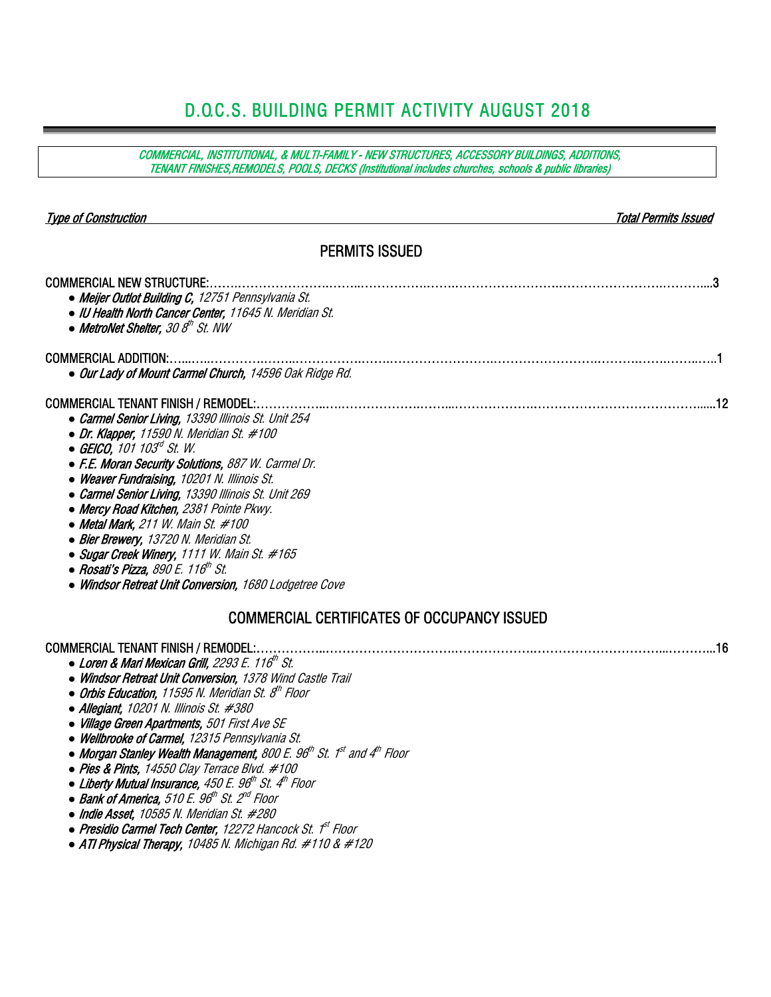# D.O.C.S. BUILDING PERMIT ACTIVITY AUGUST 2018

COMMERCIAL, INSTITUTIONAL, & MULTI-FAMILY - NEW STRUCTURES, ACCESSORY BUILDINGS, ADDITIONS, TENANT FINISHES,REMODELS, POOLS, DECKS (Institutional includes churches, schools & public libraries)

| <b>Type of Construction</b> |  |
|-----------------------------|--|
|                             |  |

## PERMITS ISSUED

**Total Permits Issued** 

| COMMERCIAL NEW STRUCTURE:<br>• Meijer Outlot Building C, 12751 Pennsylvania St.<br>• IU Health North Cancer Center, 11645 N. Meridian St.<br>• MetroNet Shelter, 30 $8th$ St. NW                                                                                                                                                                                                                                                                                                                                                                                                                                                                             |
|--------------------------------------------------------------------------------------------------------------------------------------------------------------------------------------------------------------------------------------------------------------------------------------------------------------------------------------------------------------------------------------------------------------------------------------------------------------------------------------------------------------------------------------------------------------------------------------------------------------------------------------------------------------|
| <b>COMMERCIAL ADDITION:</b><br>• Our Lady of Mount Carmel Church, 14596 Oak Ridge Rd.                                                                                                                                                                                                                                                                                                                                                                                                                                                                                                                                                                        |
| <b>COMMERCIAL TENANT FINISH / REMODEL:</b><br>• Carmel Senior Living, 13390 Illinois St. Unit 254<br>• Dr. Klapper, 11590 N. Meridian St. $#100$<br>$\bullet$ GEICO. 101 103 <sup>d</sup> St. W.<br>• F.E. Moran Security Solutions, 887 W. Carmel Dr.<br>• Weaver Fundraising, 10201 N. Illinois St.<br>• Carmel Senior Living, 13390 Illinois St. Unit 269<br>• Mercy Road Kitchen, 2381 Pointe Pkwy.<br>• Metal Mark, 211 W. Main St. $\#100$<br>• Bier Brewery, 13720 N. Meridian St.<br>• Sugar Creek Winery, 1111 W. Main St. #165<br>$\bullet$ Rosati's Pizza, 890 E. 116 <sup>th</sup> St.<br>• Windsor Retreat Unit Conversion, 1680 Lodgetree Cove |
| OOLILIEDOLLE OEDTIELO LTEO OE OOOLID LUOVILOOLIEI                                                                                                                                                                                                                                                                                                                                                                                                                                                                                                                                                                                                            |

## COMMERCIAL CERTIFICATES OF OCCUPANCY ISSUED

- Loren & Mari Mexican Grill, 2293 E. 116<sup>th</sup> St.
- *●* Windsor Retreat Unit Conversion, 1378 Wind Castle Trail
- Orbis Education, 11595 N. Meridian St. 8<sup>th</sup> Floor
- *●* Allegiant, 10201 N. Illinois St. #380
- *●* Village Green Apartments, 501 First Ave SE
- *●* Wellbrooke of Carmel, 12315 Pennsylvania St.
- Morgan Stanley Wealth Management, 800 E. 96<sup>th</sup> St. 1<sup>st</sup> and 4<sup>th</sup> Floor
- *●* Pies & Pints, 14550 Clay Terrace Blvd. #100
- Liberty Mutual Insurance, 450 E. 96<sup>th</sup> St. 4<sup>th</sup> Floor
- Bank of America, 510 E. 96<sup>th</sup> St. 2<sup>nd</sup> Floor
- *●* Indie Asset, 10585 N. Meridian St. #280
- *Presidio Carmel Tech Center, 12272 Hancock St. 1<sup>st</sup> Floor*
- *●* ATI Physical Therapy, 10485 N. Michigan Rd. #110 & #120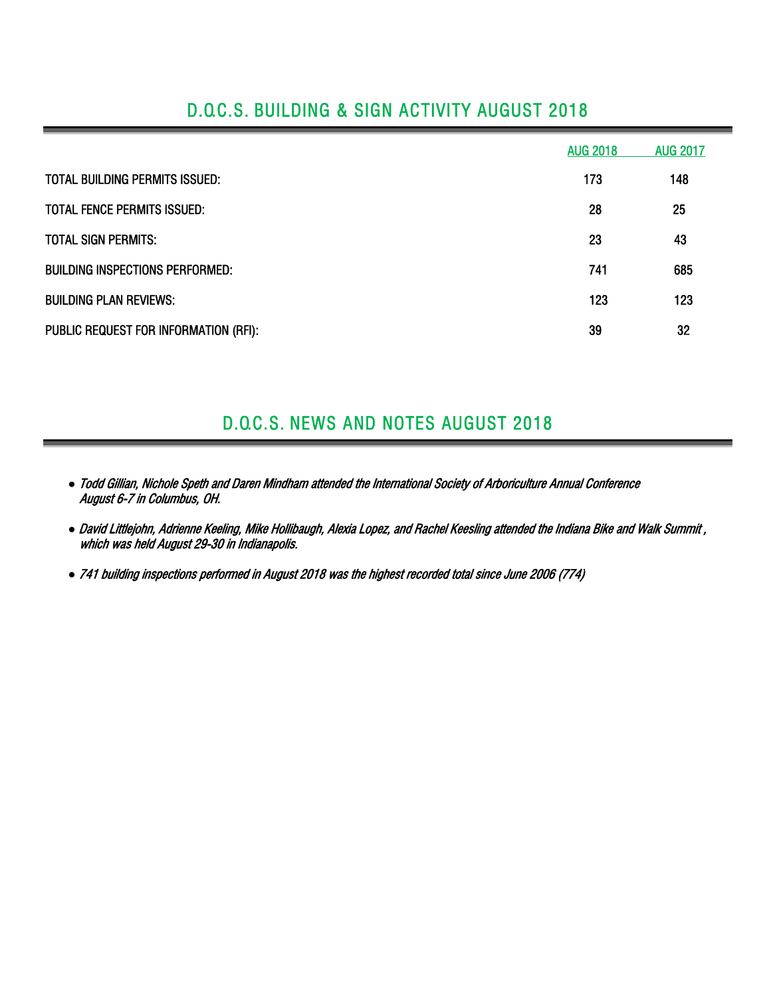# D.O.C.S. BUILDING & SIGN ACTIVITY AUGUST 2018

|                                       | <b>AUG 2018</b> | <b>AUG 2017</b> |
|---------------------------------------|-----------------|-----------------|
| TOTAL BUILDING PERMITS ISSUED:        | 173             | 148             |
| <b>TOTAL FENCE PERMITS ISSUED:</b>    | 28              | 25              |
| <b>TOTAL SIGN PERMITS:</b>            | 23              | 43              |
| BUILDING INSPECTIONS PERFORMED:       | 741             | 685             |
| <b>BUILDING PLAN REVIEWS:</b>         | 123             | 123             |
| PUBLIC REQUEST FOR INFORMATION (RFI): | 39              | 32              |

# D.O.C.S. NEWS AND NOTES AUGUST 2018

- *●* Todd Gillian, Nichole Speth and Daren Mindham attended the International Society of Arboriculture Annual Conference August 6-7 in Columbus, OH.
- *●* David Littlejohn, Adrienne Keeling, Mike Hollibaugh, Alexia Lopez, and Rachel Keesling attended the Indiana Bike and Walk Summit , which was held August 29-30 in Indianapolis.
- *●* 741 building inspections performed in August 2018 was the highest recorded total since June 2006 (774)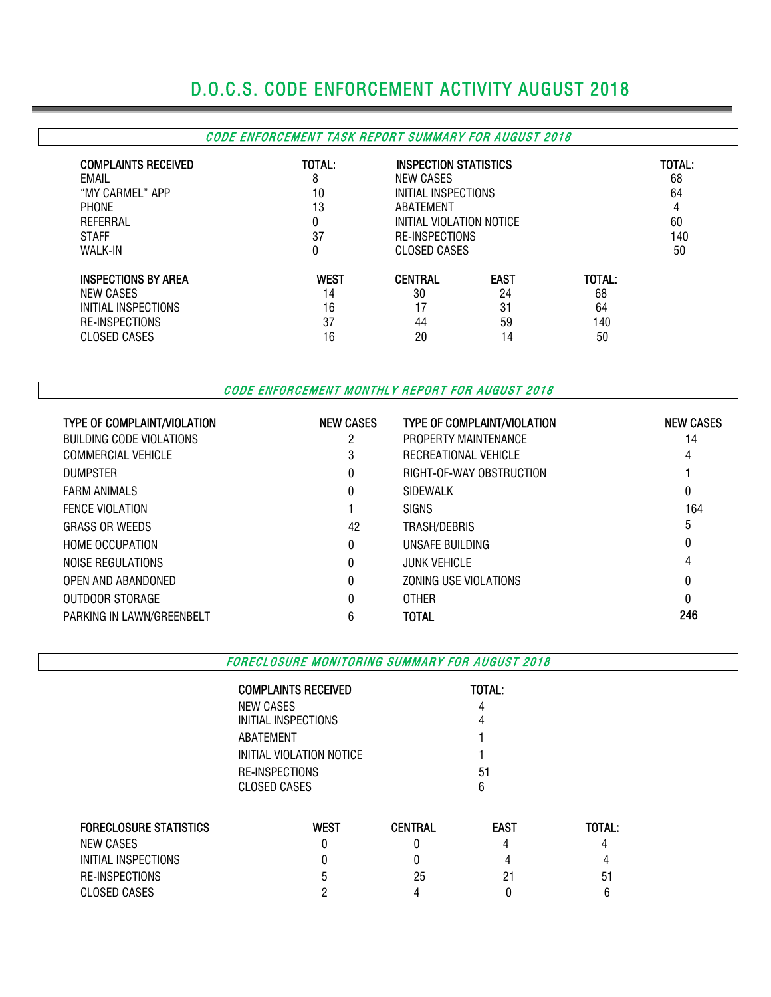# D.O.C.S. CODE ENFORCEMENT ACTIVITY AUGUST 2018

### CODE ENFORCEMENT TASK REPORT SUMMARY FOR AUGUST 2018

| <b>COMPLAINTS RECEIVED</b><br>EMAIL<br>"MY CARMEL" APP<br><b>PHONE</b><br>REFERRAL<br><b>STAFF</b><br><b>WALK-IN</b> | TOTAL:<br>8<br>10<br>13<br>0<br>37<br>0 | <b>INSPECTION STATISTICS</b><br>NEW CASES<br>INITIAL INSPECTIONS<br>ABATEMENT<br>INITIAL VIOLATION NOTICE<br><b>RE-INSPECTIONS</b><br>CLOSED CASES |             |        | TOTAL:<br>68<br>64<br>4<br>60<br>140<br>50 |
|----------------------------------------------------------------------------------------------------------------------|-----------------------------------------|----------------------------------------------------------------------------------------------------------------------------------------------------|-------------|--------|--------------------------------------------|
| <b>INSPECTIONS BY AREA</b>                                                                                           | <b>WEST</b>                             | <b>CENTRAL</b>                                                                                                                                     | <b>EAST</b> | TOTAL: |                                            |
| NEW CASES                                                                                                            | 14                                      | 30                                                                                                                                                 | 24          | 68     |                                            |
| INITIAL INSPECTIONS                                                                                                  | 16                                      | 17                                                                                                                                                 | 31          | 64     |                                            |
| <b>RE-INSPECTIONS</b>                                                                                                | 37                                      | 44                                                                                                                                                 | 59          | 140    |                                            |
| CLOSED CASES                                                                                                         | 16                                      | 20                                                                                                                                                 | 14          | 50     |                                            |

CODE ENFORCEMENT MONTHLY REPORT FOR AUGUST 2018

| <b>TYPE OF COMPLAINT/VIOLATION</b> | <b>NEW CASES</b> | <b>TYPE OF COMPLAINT/VIOLATION</b> | <b>NEW CASES</b> |
|------------------------------------|------------------|------------------------------------|------------------|
| BUILDING CODE VIOLATIONS           |                  | PROPERTY MAINTENANCE               | 14               |
| COMMERCIAL VEHICLE                 | 3                | RECREATIONAL VEHICLE               | 4                |
| <b>DUMPSTER</b>                    | 0                | RIGHT-OF-WAY OBSTRUCTION           |                  |
| <b>FARM ANIMALS</b>                |                  | <b>SIDEWALK</b>                    | 0                |
| <b>FENCE VIOLATION</b>             |                  | <b>SIGNS</b>                       | 164              |
| <b>GRASS OR WEEDS</b>              | 42               | TRASH/DEBRIS                       | 5                |
| <b>HOME OCCUPATION</b>             | 0                | UNSAFE BUILDING                    | 0                |
| NOISE REGULATIONS                  |                  | <b>JUNK VEHICLE</b>                | 4                |
| OPEN AND ABANDONED                 |                  | ZONING USE VIOLATIONS              |                  |
| OUTDOOR STORAGE                    |                  | <b>OTHER</b>                       |                  |
| PARKING IN LAWN/GREENBELT          | 6                | TOTAL                              | 246              |

FORECLOSURE MONITORING SUMMARY FOR AUGUST 2018

|                        | <b>COMPLAINTS RECEIVED</b> |                | TOTAL:      |               |
|------------------------|----------------------------|----------------|-------------|---------------|
|                        | NEW CASES                  |                | 4           |               |
|                        | INITIAL INSPECTIONS        |                | 4           |               |
|                        | ABATEMENT                  |                |             |               |
|                        | INITIAL VIOLATION NOTICE   |                |             |               |
|                        | RE-INSPECTIONS             |                | 51          |               |
|                        | CLOSED CASES               |                | 6           |               |
| FORECLOSURE STATISTICS | <b>WEST</b>                | <b>CENTRAL</b> | <b>EAST</b> | <b>TOTAL:</b> |
| NEW CASES              | 0                          |                | 4           |               |

INITIAL INSPECTIONS 0 0 4 4 RE-INSPECTIONS 5 25 21 51 CLOSED CASES 2 4 0 6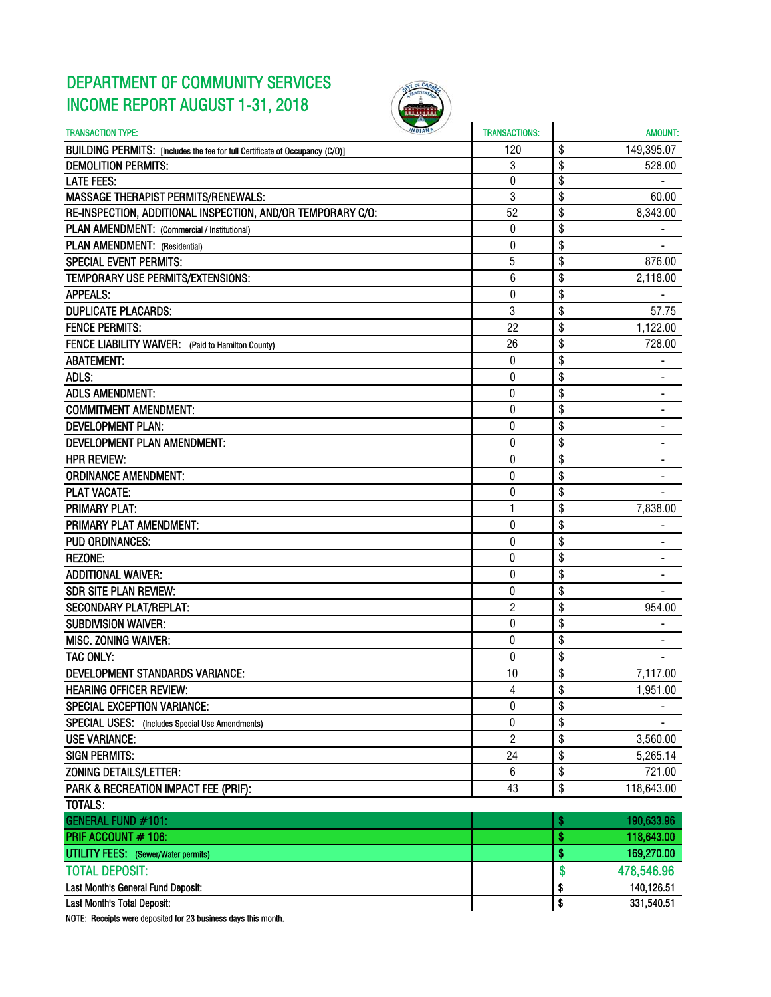# DEPARTMENT OF COMMUNITY SERVICES INCOME REPORT AUGUST 1-31, 2018



| <b><i>INDIANA</i></b><br><b>TRANSACTION TYPE:</b>                            | <b>TRANSACTIONS:</b> | <b>AMOUNT:</b>                 |
|------------------------------------------------------------------------------|----------------------|--------------------------------|
| BUILDING PERMITS: [Includes the fee for full Certificate of Occupancy (C/O)] | 120                  | \$<br>149,395.07               |
| <b>DEMOLITION PERMITS:</b>                                                   | 3                    | \$<br>528.00                   |
| <b>LATE FEES:</b>                                                            | 0                    | \$                             |
| <b>MASSAGE THERAPIST PERMITS/RENEWALS:</b>                                   | 3                    | \$<br>60.00                    |
| RE-INSPECTION, ADDITIONAL INSPECTION, AND/OR TEMPORARY C/O:                  | 52                   | \$<br>8,343.00                 |
| PLAN AMENDMENT: (Commercial / Institutional)                                 | 0                    | \$<br>$\overline{\phantom{0}}$ |
| PLAN AMENDMENT: (Residential)                                                | 0                    | \$                             |
| <b>SPECIAL EVENT PERMITS:</b>                                                | 5                    | \$<br>876.00                   |
| TEMPORARY USE PERMITS/EXTENSIONS:                                            | 6                    | \$<br>2,118.00                 |
| <b>APPEALS:</b>                                                              | 0                    | \$                             |
| <b>DUPLICATE PLACARDS:</b>                                                   | 3                    | \$<br>57.75                    |
| <b>FENCE PERMITS:</b>                                                        | 22                   | \$<br>1,122.00                 |
| FENCE LIABILITY WAIVER: (Paid to Hamilton County)                            | 26                   | \$<br>728.00                   |
| <b>ABATEMENT:</b>                                                            | 0                    | \$                             |
| ADLS:                                                                        | 0                    | \$                             |
| <b>ADLS AMENDMENT:</b>                                                       | 0                    | \$                             |
| <b>COMMITMENT AMENDMENT:</b>                                                 | 0                    | \$<br>$\blacksquare$           |
| <b>DEVELOPMENT PLAN:</b>                                                     | 0                    | \$                             |
| <b>DEVELOPMENT PLAN AMENDMENT:</b>                                           | $\mathbf{0}$         | \$                             |
| <b>HPR REVIEW:</b>                                                           | 0                    | \$                             |
| <b>ORDINANCE AMENDMENT:</b>                                                  | $\mathbf 0$          | \$                             |
| <b>PLAT VACATE:</b>                                                          | 0                    | \$                             |
| <b>PRIMARY PLAT:</b>                                                         | 1                    | \$<br>7,838.00                 |
| PRIMARY PLAT AMENDMENT:                                                      | $\mathbf{0}$         | \$                             |
| <b>PUD ORDINANCES:</b>                                                       | 0                    | \$                             |
| <b>REZONE:</b>                                                               | 0                    | \$                             |
| <b>ADDITIONAL WAIVER:</b>                                                    | 0                    | \$                             |
| <b>SDR SITE PLAN REVIEW:</b>                                                 | 0                    | \$                             |
| <b>SECONDARY PLAT/REPLAT:</b>                                                | $\overline{2}$       | \$<br>954.00                   |
| <b>SUBDIVISION WAIVER:</b>                                                   | $\boldsymbol{0}$     | \$                             |
| <b>MISC. ZONING WAIVER:</b>                                                  | $\mathbf{0}$         | \$                             |
| TAC ONLY:                                                                    | 0                    | \$                             |
| <b>DEVELOPMENT STANDARDS VARIANCE:</b>                                       | 10                   | \$<br>7,117.00                 |
| <b>HEARING OFFICER REVIEW:</b>                                               | 4                    | \$<br>1,951.00                 |
| SPECIAL EXCEPTION VARIANCE:                                                  | $\bf{0}$             | \$                             |
| SPECIAL USES: (Includes Special Use Amendments)                              | $\pmb{0}$            | \$                             |
| <b>USE VARIANCE:</b>                                                         | $\overline{c}$       | \$<br>3,560.00                 |
| <b>SIGN PERMITS:</b>                                                         | 24                   | \$<br>5,265.14                 |
| ZONING DETAILS/LETTER:                                                       | 6                    | \$<br>721.00                   |
| PARK & RECREATION IMPACT FEE (PRIF):                                         | 43                   | \$<br>118,643.00               |
| <b>TOTALS:</b>                                                               |                      |                                |
| <b>GENERAL FUND #101:</b>                                                    |                      | \$<br>190,633.96               |
| PRIF ACCOUNT # 106:                                                          |                      | \$<br>118,643.00               |
| <b>UTILITY FEES:</b> (Sewer/Water permits)                                   |                      | \$<br>169,270.00               |
| <b>TOTAL DEPOSIT:</b>                                                        |                      | \$<br>478,546.96               |
| Last Month's General Fund Deposit:                                           |                      | \$<br>140,126.51               |
| Last Month's Total Deposit:                                                  |                      | \$<br>331,540.51               |
|                                                                              |                      |                                |

NOTE: Receipts were deposited for 23 business days this month.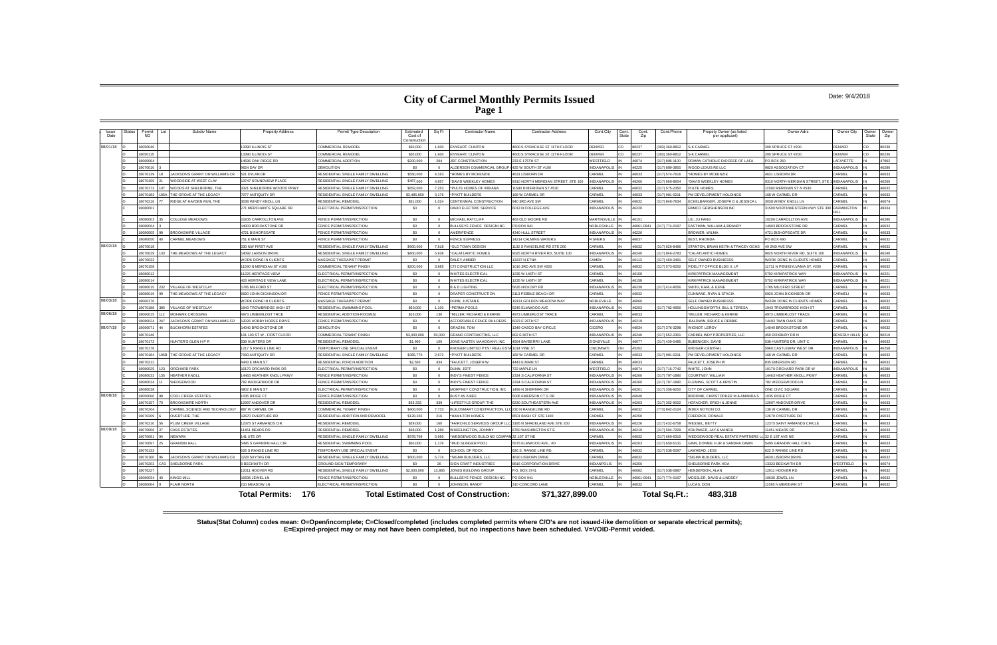### Date: 9/4/2018

**Status(Stat Column) codes mean: O=Open/incomplete; C=Closed/completed (includes completed permits where C/O's are not issued-like demolition or separate electrical permits); E=Expired-project may or may not have been completed, but no inspections have been scheduled. V=VOID-Permit voided.**

| Issue<br>Date | Statu: | Permi<br>NO         | Subdiv Name                                          | <b>Property Address</b>           | Permit Type Description                               | Estimated<br>Cost of<br>Construction | Sq Ft      | <b>Contractor Name</b>                                | <b>Contractor Address</b>                                 | Cont.City                         | Cont<br>State | Cont.<br>Zip  | Cont.Phone     | Propety Owner (as listed<br>per applicant)            | Owner Adrs                           | Owner City            | Owner<br>State | Owner<br>Zip   |
|---------------|--------|---------------------|------------------------------------------------------|-----------------------------------|-------------------------------------------------------|--------------------------------------|------------|-------------------------------------------------------|-----------------------------------------------------------|-----------------------------------|---------------|---------------|----------------|-------------------------------------------------------|--------------------------------------|-----------------------|----------------|----------------|
| 08/01/18      |        | 18050046            |                                                      | 13390 ILLINOIS ST                 | <b>COMMERCIAL REMODE</b>                              | \$30,000                             | 1.600      | NYEART, CLINTON                                       | 4600 S SYRACUSE ST 11TH FLOOF                             | DENVER                            | CO.           | 0237          | 303) 360-8812  | <b>K CARMEL</b>                                       | 00 SPRUCE ST #20                     | DENVER                |                | 80230          |
|               |        | 18050115            |                                                      | 13390 ILLINOIS ST                 | COMMERCIAL REMODEL                                    | \$30,000                             | 1.600      | NYEART, CLINTON                                       | 4600 S SYRACUSE ST 11TH FLOOR                             | <b>ENVER</b>                      | CO            | 80237         | (303) 360-8812 | <b>K CARMEL</b>                                       | 200 SPRUCE ST #200                   | DENVER                | CO             | 80230          |
|               |        | 18060064            |                                                      | 14596 OAK RIDGE RD                | COMMERCIAL ADDITION                                   | \$200,000                            | 294        | <b>RE CONSTRUCTION</b>                                | 233 E 175TH ST                                            | VESTEIELD                         |               | 46074         | 317) 896-1100  | OMAN CATHOLIC DIOCESE OF LAFA                         | 20 BOX 260                           | <b>AFAYFTTF</b>       |                | 47902          |
|               |        | 8070010             |                                                      | 9624 DAY DR                       | <b>DEMOLITION</b>                                     | SQ.                                  |            | DERSON COMMERCIAL GROUP                               | 1425 W SOUTH ST #100                                      | NDIANAPOLIS                       |               | 6225          | (317) 889-3800 | OOD LEXUS RE LLC                                      | 820 ASSOCIATION CT                   | <b>INDIANAPOLIS</b>   |                | 46280          |
|               |        | 18070139            | JACKSON'S GRANT ON WILLIAMS CR                       | 521 DYLAN DR                      | RESIDENTIAL SINGLE FAMILY DWELLING                    | \$550,000                            | 4.163      | HOMES BY MCKENZIE                                     | 4631 LISBORN DR                                           | <b>ARMEL</b>                      |               | 46033         | 317) 574-7616  | <b>IOMES BY MCKENZIE</b>                              | 631 LISBORN DR                       | CARMEL                |                | 46033          |
|               |        | 8070155             | WOODSIDE AT WEST CLAY                                | 13747 SOUNDVIEW PLACE             | RESIDENTIAL SINGLE FAMILY DWELLING                    | \$467,000                            | 4.857      | DAVID WEEKLEY HOMES                                   | 9310 NORTH MERIDIAN STREET, STE 100                       | NDIANAPOLIS                       |               | 16260         | 317) 669-8604  | DAVID WEEKLEY HOMES                                   | 310 NORTH MERIDIAN STREET, STE       | <b>INDIANAPOLIS</b>   |                | 46260          |
|               |        | 8070173             | <b>NOODS AT SHELBORNE THE</b>                        | 3321 SHELBORNE WOODS PKWY         | RESIDENTIAL SINGLE FAMILY DWELLING                    | \$652,000                            | 7.253      | PULTE HOMES OF INDIANA                                | 1590 N MERIDIAN ST #530                                   | ARMEI                             |               | 6032          | 17) 575-2350   | <b>JLTE HOMES</b>                                     | 590 MERIDIAN ST N #530               | ARMF:                 |                | 46032          |
|               |        | 18070183            | THE GROVE AT THE LEGACY                              | 7077 ANTIQUITY DR                 | RESIDENTIAL SINGLE FAMILY DWELLING                    | \$3,485,850                          | 3.176      | PYATT BUILDERS                                        | 168 W CARMEL DR                                           | ARMEI                             |               | 16033         | (317) 981-0211 | M DEVELOPMENT HOLDINGS                                | 68 W CARMEL DI                       | CARMEL                |                | 46032          |
|               |        | 18070216            | RIDGE AT HAYDEN RUN, THE                             | 3038 WINDY KNOLL LN               | RESIDENTIAL REMODEL                                   | \$31,000                             | 1,024      | <b>ENTENNIAL CONSTRUCTION</b>                         | 940 3RD AVE SW                                            | ARMEL                             |               | 46032         | 317) 848-7634  | CKELBARGER, JOSEPH D & JESSICA L                      | 038 WINDY KNOLL LN                   | CARMEL                |                | 46074          |
|               |        | 8080001             |                                                      | 271 MERCHANTS SQUARE DR           | ELECTRICAL PERMIT/INSPECTION                          | \$0                                  | $^{\circ}$ | AVID ELECTRIC SERVICE                                 | 6013 N COLLEGE AVE                                        | NDIANAPOLIS                       |               | 16220         |                | AMCO GERSHENSON INC                                   | 1500 NORTHWESTERN HWY STE 30         | 0 FARMINGTON<br>HII I |                | 48334          |
|               |        | 18080003            | <b>COLLEGE MEADOWS</b>                               | 10206 CARROLLTON AVE              | FENCE PERMIT/INSPECTION                               | SQ.                                  | $\Omega$   | <b>MICHAEL RATCLIFF</b>                               | 463 OLD MOORE RD                                          | <b>ARTINSVILLE</b>                |               | 16151         |                | IU, JU FANG                                           | 0206 CARROLLTON AVE                  | <b>INDIANAPOLIS</b>   |                | 46280          |
|               |        | 8080004             |                                                      | 14003 BROOKSTONE DR               | FENCE PERMIT/INSPECTION                               | \$0                                  | $\Omega$   | ULLSEYE FENCE DESIGN INC                              | PO BOX 941                                                | <b>IOBLESVILLE</b>                |               | 16061-0941    | 317) 774-0197  | <b>ASTMAN, WILLIAM &amp; BRANDY</b>                   | 4003 BROOKSTONE DR                   | CARMEL                |                | 46032          |
|               |        | 18080005            | <b>BROOKSHIRE VILLAGE</b>                            | 4721 BISHOPSGATE                  | FENCE PERMIT/INSPECTION                               | \$0                                  | $\Omega$   | MERIFENCE                                             | 4340 HULL STREET                                          | NDIANAPOLIS                       |               | 16226         |                | <b>BROWER, WILMA</b>                                  | <b>4721 BISHOPSGATE DR</b>           | CARMEL                |                | 46033          |
|               |        | 18080050            | CARMEL MEADOWS                                       | 751 E MAIN ST                     | FENCE PERMIT/INSPECTION                               | \$0                                  |            | <b>ENCE EXPRESS</b>                                   | 14214 CALMING WATERS                                      | <b>ISHERS</b>                     |               | 6037          |                | <b>FST. RHONDA</b>                                    | O BOX 490                            | CARMEL                |                | 46032          |
| 08/02/18      |        | 18070018            |                                                      | 330 NW FIRST AVE                  | RESIDENTIAL SINGLE FAMILY DWELLING                    | \$900,000                            | 7818       | OLD TOWN DESIGN                                       | 1132 S RANGELINE RD STE 200                               | ARMFI                             |               | 46032         | 317) 626-8486  | TANTON, BRIAN KEITH & TRACEY OCHS                     | <b>19 2ND AVE SW</b>                 | CARMEL                |                | 46032          |
|               |        | 8070029             | THE MEADOWS AT THE LEGACY                            | 14092 LARSON DRIVE                | RESIDENTIAL SINGLE FAMILY DWELLING                    | \$400,000                            | 5,938      | CALATLANTIC HOMES                                     | 9025 NORTH RIVER RD. SUITE 100                            | NDIANAPOLIS                       |               | 16240         | (317) 846-2783 | <b>CALATI ANTIC HOMES</b>                             | 025 NORTH RIVER RD. SUITE 100        | INDIANAPOLIS          |                | 46240          |
|               |        | 18070033            |                                                      | WORK DONE IN CLIENTS              | MASSAGE THERAPIST PERMIT                              | \$0                                  |            | AI FY AMBER                                           | 13237 N ETNA                                              | AMBY:                             |               | 46113         | 317) 460-3491  | ELF OWNED BUSINESSS                                   | <b>/ORK DONE IN CLIENTS HOMES</b>    | CARMEL                |                | 46032          |
|               |        | 18070158            |                                                      | 11590 N MERIDIAN ST #100          | COMMERCIAL TENANT FINISH                              | \$200,000                            | 3.885      | TI CONSTRUCTION LLC                                   | 1016 3RD AVE SW #200                                      | <b>APMEI</b>                      |               | 46032         | 317) 573-6052  | <b>IDELITY OFFICE BLDG II, LF</b>                     | 1711 N PENNSYLVANIA ST. #200         | CARMEI                |                | 46032          |
|               |        | 8080012             |                                                      | 1225 HERITAGE VIEW                | ELECTRICAL PERMIT/INSPECTION                          | \$0                                  | $\Omega$   | HITES ELECTRICAL                                      | 1235 W 146TH ST                                           | ARMEL                             |               | 6158          |                | <b>IRKPATRICK MANAGEMEN</b>                           | 702 KIRKPATRICK WAY                  | NDIANAPOLIS           |                | 46221          |
|               |        | 18080014            |                                                      | 403 HERITAGE VIEW LANE            | ELECTRICAL PERMIT/INSPECTION                          | \$0                                  | $\Omega$   | <b>VHITES ELECTRICAL</b>                              | 1235 W 146TH ST                                           | <b>ARMEL</b>                      |               | 46158         |                | <b>(IRKPATRICK MANAGEMENT</b>                         | <b>702 KIRKPATRICK WAY</b>           | <b>INDIANAPOLIS</b>   |                | 46221          |
|               |        | 8080015             | VILLAGE OF WESTCLAY                                  | 1785 MILFORD ST                   | ELECTRICAL PERMIT/INSPECTION                          | \$0                                  |            | & D LIGHTING                                          | 5635 HICKORY RD                                           | NDIANAPOLIS                       |               | 6239          | 317) 414-8056  | MITH, KARL & ILENE                                    | 785 MILOFRD STREET                   | CARMEI                |                | 46032          |
|               |        | 8080019             | THE MEADOWS AT THE LEGACY                            | 920 JOHN DICKINSON DR             | <b>ENCE PERMIT/INSPECTION</b>                         | S <sub>0</sub>                       |            | RAPER CONSTRUCTION                                    | 113 PEBBLE BEACH DR                                       | ARME                              |               | 6032          |                | UNNANE, RYAN & STACIA                                 | 920 JOHN DICKINSON DR                | <b>ARMEL</b>          |                | 46033          |
| 08/03/18      |        | 18060176            |                                                      | WORK DONE IN CLIENTS              | MASSAGE THERAPIST PERMIT                              | \$0                                  |            | UNN, JUSTAN E                                         | 19131 GOLDEN MEADOW WAY                                   | <b>JOBLEVILLE</b>                 |               | 46060         |                | <b>SELF OWNED BUSINESSS</b>                           | VORK DONE IN CLIENTS HOMES           | CARMEL                |                | 46032          |
|               |        | 18070188            | VILLAGE OF WESTCLAY                                  | 1943 TROWBRIDGE HIGH ST           | RESIDENTIAL SWIMMING POOL                             | \$60,000                             | 1,100      | PERMA POOLS                                           | 5245 ELMWOOD AVE                                          | NDIANAPOLIS                       |               | 6203          | (317) 782-9956 | <b>IOLLINGSWORTH, BILL &amp; TERESA</b>               | 943 TROWBRIDGE HIGH ST               | CARMEL                |                | 46032          |
| 08/06/18      |        | 18060015            | <b>MOHAWK CROSSING</b>                               | 4973 LIMBERI OST TRCE             | RESIDENTIAL ADDITION-ROOM(S)                          | \$15,000                             | 130        | MILLER, RICHARD & KERRIE                              | 4973 LIMBERI OST TRACE                                    | ARMEL                             |               | 46033         |                | MILLER, RICHARD & KERRIE                              | 973 LIMBERI OST TRACE                | CARMEL                |                | 46033          |
|               |        | 8080024             | JACKSON'S GRANT ON WILLIAMS CR                       | 12026 HORRY HORSE DRIV            | FENCE PERMIT/INSPECTION                               | <b>co</b>                            |            | <b>FORDABLE FENCE BUILDERS</b>                        | 6023 E 26TH ST                                            | NCIANAPOLIS                       |               | 16219         |                | <b>ALDWIN BRUCE &amp; DEBBIE</b>                      | 4493 TWIN OAKS DR                    | CARMEL                |                | 46032          |
| 08/07/18      |        | 18060071            | <b>BUCKHORN ESTATES</b>                              | 14040 BROOKSTONE DR               | <b>DEMOLITION</b>                                     | \$0                                  |            | <b>RAZINI, TOM</b>                                    | 1349 CASCO BAY CIRCLE                                     | <b>ICERO</b>                      |               | 16034         | (317) 376-3298 | <b>IGNOT LEROY</b>                                    | 4040 BROOKSTONE DR                   | CARMEL                |                | 46032          |
|               |        | 8070146             |                                                      | 101 103 ST W - FIRST FLOOR        | COMMERCIAL TENANT FINISH                              | \$3,000,000                          | 50,000     | <b>RAND CONTRACTING, LLC</b>                          | 802 E 86TH ST                                             | <b>VDIANAPOLIS</b>                |               | 6240          | 317) 552-2301  | ARMEL INDY PROPERTIES, LLC                            | <b>150 ROXBURY DR N</b>              | <b>BEVERLY HILLS</b>  |                | 90210          |
|               |        | 8070172             | HUNTER'S GLEN H P F                                  | 538 HUNTERS DR                    | <b>RESIDENTIAL REMODEL</b>                            | \$1,900                              | 100        | ONE NASTEV MAHOGANY, INC                              | <b>4564 BAYBERRY LANE</b>                                 | <b>IONSVILLE</b>                  |               | 6077          | 317) 439-0485  | <b>JBENICEK, DAVID</b>                                | 38 HUNTERS DR. UNIT                  | CARMEL                |                | 46032          |
|               |        | 18070176            |                                                      | 1217 S RANGE LINE RD              | TEMPORARY USE SPECIAL EVENT                           | \$0                                  | $\Omega$   | ROGER LIMITED PTN I REAL ESTA 1014 VINE ST            |                                                           | <b>INCINNATI</b>                  |               | 5202          |                | ROGER-CENTRAL                                         | 5960 CASTLEWAY WEST DR               | <b>INDIANAPOLIS</b>   |                | 46258          |
|               |        | 18070184            | <b>35B THE GROVE AT THE LEGACY</b>                   | 7083 ANTIQUITY DR                 | RESIDENTIAL SINGLE FAMILY DWELLING                    | \$365,770                            | 2,672      | PYATT BUILDERS                                        | 168 W CARMEL DR                                           | :ARMFI                            |               | 6033          | 317) 981-0211  | M DEVELOPMENT HOLDINGS                                | 68 W CARMEL DR                       | CARMEL                |                | 46032          |
|               |        | 8070211             |                                                      | 4443 E MAIN ST                    | RESIDENTIAL PORCH ADDITION                            | \$2,500                              | 434        | AUCETT, JOSEPH W                                      | 4443 E MAIN ST                                            | ARMFI                             |               | EEOA          |                | <b>AUCETT, JOSEPH W</b>                               | 35 EMERSON RD                        | <b>CARMEL</b>         |                | 46032          |
|               |        | 8080025             | <b>ORCHARD PARK</b>                                  | 10170 ORCHARD PARK DR             | ELECTRICAL PERMIT/INSPECTION                          | \$0                                  | $\Omega$   | UNN, JEFF                                             | 722 MAPLE LN                                              | VESTFIELD                         |               | 46074         | (317) 716-7742 | VHITE, JOHN                                           | 0170 ORCHARD PARK DR W               | INDIANAPOLIS          |                | 46280          |
|               |        | 18080033            | <b>HEATHER KNOLL</b>                                 | 14463 HEATHER KNOLL PKWY          | FENCE PERMIT/INSPECTION                               | \$0                                  | $\Omega$   | <b>VDY'S FINEST FENCE</b>                             | 2334 S CALIFORNIA ST                                      | <b>VDIANAPOLIS</b>                |               | 46260         | 317) 797-1890  | OURTNEY, WILLIAM                                      | 4463 HEATHER KNOLL PKWY              | CARMEL<br>CARMEL      |                | 46033          |
|               |        | 18080034            | WEDGEWOOD                                            | 782 WEDGEWOOD DF                  | FENCE PERMIT/INSPECTION                               | \$0                                  | $\Omega$   | <b>NDY'S FINEST FENCE</b>                             | 2334 S CALIFORNIA ST                                      | NDIANAPOLIS                       |               | 16260         | (317) 797-1890 | LEMING, SCOTT & KRISTIN                               | 82 WEDGEWOOD LN                      |                       |                | 46033          |
|               |        | 8080038             |                                                      | 4802 F MAIN ST                    | ELECTRICAL PERMIT/INSPECTION                          | so.                                  |            | ORPHEY CONSTRUCTION, INC                              | 1499 N SHERMAN DR                                         | NDIANAPOLIS                       |               | 6201          | 317) 356-9250  | TY OF CARMEL                                          | ONE CIVIC SQUARE                     | CARMEL                |                | 46032          |
| 08/08/18      |        | 18050060<br>8070157 | <b>COOL CREEK ESTATES</b><br><b>BROOKSHIRE NORTH</b> | 1035 RIDGE CT<br>12997 ANDOVER DR | <b>FENCE PERMIT/INSPECTION</b><br>RESIDENTIAL REMODEL | \$0<br>\$63,333                      | 339        | USY AS A BEE                                          | 5006 EMERSON CT S DR                                      | <b>VDIANAPOLIS</b><br>NDIANAPOLIS |               | 46040         | 317) 352-9022  | RODNIK, CHRISTOPHER M & AMANDA S                      | 035 RIDGE CT                         | CARMEL<br>CARMEL      |                | 46033<br>46033 |
|               |        | 18070204            | CARMEL SCIENCE AND TECHNOLOGY                        | 887 W CARMEL DR                   | COMMERCIAL TENANT FINISH                              | \$400,000                            | 7.733      | IFESTYLE GROUP, THE<br><b>UILDSMART CONSTRUCTION.</b> | 6230 SOUTHEASTERN AVE<br>C 230 N RANGELINE RD             | ARMEI                             |               | 6203<br>46032 | (773) 842-2124 | <b>IOFACKER, ERICH &amp; JENNE</b><br>INDEX NOTION CO | 2997 ANDOVER DRIV<br>136 W CARMEL DF | CARMEL                |                | 46032          |
|               |        | 8070209             | OVERTURE. THE                                        | 12670 OVERTURE DR                 | RESIDENTIAL ADDITION AND REMODEI                      | \$128,265                            | 216        | <b>HAMILTON HOMES</b>                                 | 8501 BASH ST STE 1100                                     | ARMEI                             |               | 46250         |                | REDRICK, RONALD                                       | 2670 OVERTURE DR                     | CARMEL                |                | 46033          |
|               |        | 18070210            | PLUM CREEK VILLAGE                                   | 12375 ST ARMANDS CIR              | <b>RESIDENTIAL REMODEL</b>                            | \$29,000                             | 160        |                                                       | FAIRCHILD SERVICES GROUP LLC 3185 N SHADELAND AVE STE 200 | <b>VDIANAPOLIS</b>                |               | 46226         | 317) 432-6758  | VESSEL, BETTY                                         | 2375 SAINT ARMANDS CIRCLE            | CARMEL                |                | 46033          |
| 08/09/18      |        | 8070066             | <b>CASS ESTATES</b>                                  | 11451 MEARS DR                    | <b>RESIDENTIAL REMODEL</b>                            | \$28,000                             | 1.289      | HEELINGTON, JOHNNY                                    | <b>6750 WASHINGTON STE</b>                                | VDIANAPOLIS                       |               | 6219          | 317) 504-7209  | <b>RUPAKER, JAY &amp; MANGU</b>                       | 1451 MEARS DR                        | CARMEL                |                | 46033          |
|               |        | 1807008             | <b>NFWARK</b>                                        | 141 UTE DR                        | RESIDENTIAL SINGLE FAMILY DWELLING                    | \$578,708                            | 5.685      | <b>VEDGEWOOD BUILDING COMPAN 32 1ST ST NE</b>         |                                                           | ARMEI                             |               | 46032         | 317) 669-6315  | <b>EDGEWOOD REAL ESTATE PARTNERS</b>                  | 32 E 1ST AVE NE                      | CARMEL                |                | 46032          |
|               |        | 18070097            | <b>GRANDIN HALL</b>                                  | 5495 S GRANDIN HALL CIR           | RESIDENTIAL SWIMMING POOL                             | \$50,000                             | 1,176      | MUD SLINGER POOL                                      | 5575 ELMWOOD AVE., #D                                     | <b>NDIANAPOLIS</b>                |               | 16203         | 317) 650-5131  | INN, DONNIE H JR & SANDRA DAWN                        | 5495 GRANDIN HALL CIR S              | CARMEL                |                | 46033          |
|               |        | 18070133            |                                                      | <b>626 S RANGE LINE RD</b>        | TEMPORARY USE SPECIAL EVENT                           | \$0                                  | $\Omega$   | CHOOL OF ROCK                                         | 626 S. RANGE LINE RD.                                     | ARMEI                             |               | 6032          | 317) 538-5097  | AWHEAD, JESS                                          | <b>22 S RANGE LINE RD</b>            | CARMEL                |                | 46032          |
|               |        | 18070160            | JACKSON'S GRANT ON WILLIAMS CR                       | 1228 SKYTAG DR                    | RESIDENTIAL SINGLE FAMILY DWELLING                    | \$500,000                            | 5.774      | SIGMA BUILDERS, LLC                                   | 4630 LISBORN DRIVI                                        | ARMEI                             |               | 46032         |                | SIGMA BUILDERS, LLO                                   | <b>4630 LISBORN DRIVE</b>            | CARMEL                |                | 46032          |
|               |        | 8070203             | SHELBORNE PARK                                       | <b>BECKWITH DR</b>                | <b>GROUND SIGN TEMPORARY</b>                          | \$0                                  | 26         | <b>IGN CRAFT INDUSTRIES</b>                           | 8816 CORPORATION DRIVE                                    | <b>VDIANPOLIS</b>                 |               | 6256          |                | HELBORNE PARK HOA                                     | 3323 BECKWITH DR                     | WESTFIELD             |                | 40674          |
|               |        | 8070227             |                                                      | 12011 HOOVER RD                   | RESIDENTIAL SINGLE FAMILY DWELLING                    | \$2,000,000                          | 13.885     | ONES BUILDING GROUP                                   | P.O. BOX 3741                                             | ARMF                              |               | 6082          | 317) 538-0887  | ENDERSON, ALAN                                        | 2011 HOOVER RD                       | CARMEL                |                | 46032          |
|               |        | 8080054             | <b>KINGS MILL</b>                                    | 10636 JEWEL LN                    | FENCE PERMIT/INSPECTION                               | \$0                                  |            | ULLSEYE FENCE DESIGN INC                              | PO BOX 941                                                | NOBLESVILLE                       |               | 16061-0941    | (317) 774-0197 | OSSLER, DAVID & LINDSEY                               | 10636 JEWEL LN                       | CARMEL                |                | 46032          |
|               |        | 18080064            | <b>FLAIR NORTH</b>                                   | 210 MEADOW LN                     | ELECTRICAL PERMIT/INSPECTION                          | \$n                                  |            | OHNSON, RANDY                                         | 310 CONCORD LANE                                          | ARMEL                             |               | 16032         |                | UCAS, DON                                             | 1595 N MERIDIAN ST                   | CARMEL                | IN             | 46032          |
|               |        |                     |                                                      |                                   |                                                       |                                      |            |                                                       |                                                           |                                   |               |               |                |                                                       |                                      |                       |                |                |
|               |        |                     |                                                      | <b>Total Permits: 176</b>         |                                                       |                                      |            | <b>Total Estimated Cost of Construction:</b>          | \$71,327,899.00                                           |                                   |               |               | Total Sq.Ft.:  | 483.318                                               |                                      |                       |                |                |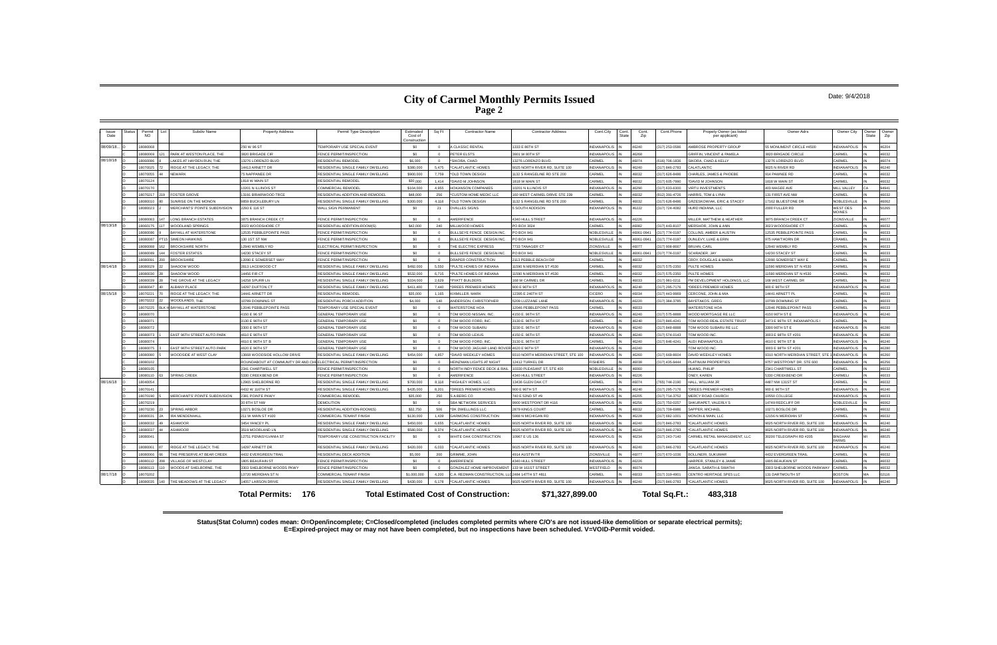### Date: 9/4/2018

**Status(Stat Column) codes mean: O=Open/incomplete; C=Closed/completed (includes completed permits where C/O's are not issued-like demolition or separate electrical permits); E=Expired-project may or may not have been completed, but no inspections have been scheduled. V=VOID-Permit voided.**

| Issue<br>Date | Statu | Permit<br>NO.       | Subdiv Name                               | <b>Property Address</b>                                        | Permit Type Description                                   | Estimated<br>Cost of<br>Constructio | Sq Ft        | <b>Contractor Name</b>                          | <b>Contractor Address</b>               | Cont.City                  | Cont.<br>Zip   | Cont.Phone                      | Propety Owner (as listed<br>per applicant)        | Owner Adrs                        | Owner City                       | Owner<br>State | Owne<br>Zip    |
|---------------|-------|---------------------|-------------------------------------------|----------------------------------------------------------------|-----------------------------------------------------------|-------------------------------------|--------------|-------------------------------------------------|-----------------------------------------|----------------------------|----------------|---------------------------------|---------------------------------------------------|-----------------------------------|----------------------------------|----------------|----------------|
| 08/09/18.     |       | 8080068             |                                           | 250 W 96 ST                                                    | TEMPORARY USE SPECIAL EVENT                               | \$0                                 |              | <b>CLASSIC RENTAL</b>                           | 1333 E 86TH ST                          | VDIANAPOLIS                | 6240           | 317) 253-0586                   | <b>MBROSE PROPERTY GROUP</b>                      | 5 MONUMENT CIRCLE #4500           | <b>INDIANAPOLIS</b>              |                | 46204          |
|               |       | 18080069            | PARK AT WESTON PLACE. THE                 | 3820 BRIGADE CIR                                               | FENCE PERMIT/INSPECTION                                   | \$0                                 | $\Omega$     | <b>ETER ELSTS</b>                               | 3901 W 80TH ST                          | NDIANAPOLIS                | 46268          |                                 | <b>SRIFFIN, VINCENT &amp; PAMELA</b>              | 3820 BRIGADE CIRCI F              | CARMEL                           |                | 46032          |
| 08/10/18      |       | 18060086            | LAKES AT HAYDEN RUN. THE                  | 13276 LORENZO BLVD                                             | <b>RESIDENTIAL REMODEL</b>                                | \$6,000                             |              | SIKORA, CHAD                                    | 13276 LORENZO BLVD                      | ARMEI                      | 16074          | (616) 706-1836                  | <b>IKORA, CHAD &amp; KELLY</b>                    | 3276 LORENZO BLVD                 | CARMEL                           |                | 46074          |
|               |       | 8070025             | RIDGE AT THE LEGACY. THE                  | 14413 ARNETT DR                                                | RESIDENTIAL SINGLE FAMILY DWELLING                        | \$380,000                           | 5.475        | CALATLANTIC HOMES                               | 9025 NORTH RIVER RD, SUITE 100          | VDIANAPOLIS                | 6240           | 317) 846-2783                   | ALATI ANTIC                                       | 025 N RIVER RD                    | NDIANAPOLIS                      |                | 46240          |
|               |       | 18070055            | <b>NEWARK</b>                             | 75 NAPPANEE DR                                                 | RESIDENTIAL SINGLE FAMILY DWELLING                        | \$900,000                           | 7,759        | OLD TOWN DESIGN                                 | 1132 S RANGELINE RD STE 200             | ARMEI                      | 46032          | (317) 626-8486                  | HARI FS. JAMES & PHOEBI                           | 914 PAWNEE RD                     | CARMEL                           |                | 46032          |
|               |       | 18070124            |                                           | 1818 W MAIN ST                                                 | <b>RESIDENTIAL REMODEL</b>                                | \$30,000                            | 1.414        | DAVID M JOHNSON                                 | 1818 W MAIN ST                          | ARMEL                      | 16032          | (317) 605-7990                  | <b>DAVID M JOHNSON</b>                            | 818 W MAIN ST                     | CARMEL                           |                | 46032          |
|               |       | 18070170            |                                           | 10201 N ILLINOIS ST                                            | COMMERCIAL REMODEL                                        | \$104,000                           | 4955         | <b>HOKANSON COMPANIES</b>                       | 10201 N ILLINOIS ST                     | <b>NDIANAPOLIS</b>         | 46290          | (317) 633-6300                  | <b>IRTU INVESTMENTS</b>                           | <b>103 MAGEE AVE</b>              | MILL VALLEY                      |                | 94941          |
|               |       | 8070217             | <b>FOSTER GROVE</b>                       | 13191 BRIARWOOD TRCE                                           | RESIDENTIAL ADDITION AND REMODE                           | \$48,000                            | 256          | CUSTOM HOME MEDIC LLC                           | 160 WEST CARMEL DRIVE STE 239           | ARMFI                      | 6032           | 812) 391-4726                   | ARRIS, TOM & LYNN                                 | 31 FIRST AVE NV                   | CARMEL                           |                | 46032          |
|               |       | 18080010            | SUNRISE ON THE MONON                      | 9859 BUCKLEBURY LN                                             | RESIDENTIAL SINGLE FAMILY DWELLING                        | \$300,000                           | 4.118        | OLD TOWN DESIGN                                 | 1132 S RANGELINE RD STE 200             | <b>ARMEL</b>               | 16032          | (317) 626-8486                  | RZESKOWIAK, ERIC & STACEY                         | 7162 BLUESTONE DF                 | <b>NOBLESVILLE</b>               |                | 46062          |
|               |       | 8080023             | MERCHANTS' POINTE SUBDIVISION             | 2293 E 116 ST                                                  | WALL SIGN PERMANENT                                       | \$0                                 | 21           | VALLES SIGNS                                    | 5 SOUTH ADDISON                         | NDIANAPOLIS                | 16222          | (317) 724-4082                  | IURD INDIANA, LLC                                 | 2000 FULLER RD                    | <b>WEST DES</b><br><b>MOINES</b> |                | 50265          |
|               |       | 8080083             | <b>LONG BRANCH ESTATES</b>                | 3875 BRANCH CREEK CT                                           | FENCE PERMIT/INSPECTION                                   | SQ.                                 |              | MERIFENCE                                       | 4340 HULL STREET                        | NDIANAPOLIS                | 46226          |                                 | <b>IILLER, MATTHEW &amp; HEATHER</b>              | <b>8875 BRANCH CREEK CT</b>       | <b>ZIONSVILLE</b>                |                | 46077          |
| 08/13/18      |       | 18060175            | WOODLAND SPRINGS                          | 3023 WOODSHORE CT                                              | RESIDENTIAL ADDITION-ROOM(S                               | \$42,000                            | 240          | <b>IILLWOOD HOMES</b>                           | PO BOX 3024                             | ARMFI                      | 6082           | 317) 443-8107                   | <b>JERSHOR. JOHN &amp; ANN</b>                    | 023 WOODSHORE CT                  | CARMEL                           |                | 46032          |
|               |       | 8080086             | <b>BAYHILL AT WATERSTONE</b>              | 2535 PEBBLEPOINTE PASS                                         | FENCE PERMIT/INSPECTION                                   | \$0                                 |              | ULLSEYE FENCE DESIGN INC                        | PO BOX 941                              | OBLESVILLE                 | 6061-0941      | 317) 774-0197                   | OLLINS, AMBER & AUSTIN                            | 2535 PEBBLEPOINTE PASS            | CARMEL                           |                | 46033          |
|               |       | 18080087            | SIMEON HAWKINS                            | 130 1ST ST NW                                                  | FENCE PERMIT/INSPECTION                                   | so.                                 |              | ULLSEYE FENCE DESIGN INC                        | PO BOX 941                              | <b>JOBLESVILLE</b>         | 16061-0941     | 317) 774-0197                   | UNLEVY, LUKE & ERIN                               | <b>975 HAWTHORN DR</b>            | CRAMFI                           |                | 46033          |
|               |       | 8080088             | <b>BROOKSHIRE NORTH</b>                   | 12940 WEMBLY RD                                                | ELECTRICAL PERMIT/INSPECTION                              | sn                                  |              | HE ELECTRIC EXPRESS                             | 7733 TANAGER CT                         | <b>IONSVILLE</b>           | 6077           | 317) 908-8667                   | <b>RUHN, CARL</b>                                 | 2940 WEMBLY RD                    | CARMEL                           |                | 46033          |
|               |       | 8080089             | <b>FOSTER ESTATES</b>                     | 14230 STACEY ST                                                | FENCE PERMIT/INSPECTION                                   | \$0                                 | $\Omega$     | ULLSEYE FENCE DESIGN INC                        | PO BOX 941                              | <b>VOBLESVILLE</b>         | 6061-0941      | 317) 774-0197                   | CHRADER, JAY                                      | 4230 STACEY ST                    | CARMEL                           |                | 46033          |
|               |       | enngna <sup>t</sup> | <b>BROOKSHIRE</b>                         | 12090 E SOMERSET WAY                                           | FENCE PERMIT/INSPECTION                                   | \$0                                 |              | DRAPER CONSTRUCTION                             | 2113 PEBBLE BEACH DR                    | ARMEI                      | 16032          |                                 | ROY, DOUGLAS & MARIA                              | 2090 SOMERSET WAY                 | CARMEL                           |                | 46033          |
| 08/14/18      |       | 18080029            | SHADOW WOOD                               | 2613 LACEWOOD CT                                               | RESIDENTIAL SINGLE FAMILY DWELLING                        | \$492,000                           | 5.550        | PULTE HOMES OF INDIANA                          | 1590 N MERIDIAN ST #530                 | ARMEI                      | 6032           | 317) 575-2350                   | <b>I II TE HOMES</b>                              | 590 MERIDIAN ST N #530            | CARMEL                           |                | 46032          |
|               |       | 8080030             | SHADOW WOOD                               | 14456 FIR CT                                                   | RESIDENTIAL SINGLE FAMILY DWELLING                        | \$532,000                           | 6.715        | PULTE HOMES OF INDIANA                          | 1590 N MERIDIAN ST #530                 | ARMEI                      | 16032          | 317) 575-2350                   | UI TE HOMES                                       | 1590 MERIDIAN ST N #530           | CARMEL<br>CARMEL                 |                | 46032          |
|               |       | 8080039<br>8080047  | THE GROVE AT THE LEGACY<br>AI BANY PI ACF | 14258 SPURR LN                                                 | RESIDENTIAL SINGLE FAMILY DWELLING                        | \$334,000<br>\$411,400              | 2,629        | PYATT BUILDERS<br>DREES PREMIER HOMES           | 168 W CARMEL DR<br>900 F 96TH ST        | <b>ARMEL</b><br>NDIANAPOLI | 16033<br>16240 | 317) 981-0211                   | M DEVELOPMENT HOLDINGS, LLC<br>REES PREMIER HOMES | 68 WEST CARMEL DI<br>OO F 96TH ST | <b>INDIANAPOLIS</b>              |                | 46032<br>46240 |
| 08/15/18      |       | 18070221            | RIDGE AT THE LEGACY. THE                  | 14297 DUFTON CT<br>14441 ARNETT DR                             | RESIDENTIAL SINGLE FAMILY DWELLING<br>RESIDENTIAL REMODEL |                                     | 7440         | IXMII I FR. MARK                                |                                         | <b>ICERO</b>               |                | (317) 295-7176<br>317) 443-9969 | FRCONF. JOHN & MIA                                | 4441 ARNETT PL                    | CARMEL                           |                |                |
|               |       | 8070222             | WOODLANDS, THE                            | 0789 DOWNING ST                                                | RESIDENTIAL PORCH ADDITION                                | \$35,000<br>\$4,000                 | 1,165<br>140 | NDERSON, CHRISTOPHER                            | 12395 E 246TH ST<br>5209   UZZANE   ANI | <b>VDIANAPOLIS</b>         | 16034<br>16220 | 317) 384-3785                   | AYETAKOS, GREG                                    | 0789 DOWNING ST                   | CARMEL                           |                | 46033<br>46033 |
|               |       | 18070225            | <b>H BAYHILL AT WATERSTONE</b>            | 12046 PEBBLEPOINTE PASS                                        | TEMPORARY USE SPECIAL EVENT                               | so.                                 | $\Omega$     | <b>VATERSTONE HOA</b>                           | 12046 PEBBLEPOINT PASS                  | ARMEI                      | 46033          |                                 | <b>JATERSTONE HOA</b>                             | 2046 PEBBLEPOINT PASS             | CARMEL                           |                | 46033          |
|               |       | 18080070            |                                           | 4150 E 96 ST                                                   | <b>GENERAL TEMPORARY USE</b>                              | \$0                                 |              | OM WOOD NISSAN, INC                             | 4150 E. 96TH ST.                        | NDIANAPOLIS                | 46240          | 317) 575-8888                   | <b>VOOD MORTGAGE RE LLC</b>                       | 150 96TH ST E                     | <b>INDIANAPOLIS</b>              |                | 46240          |
|               |       | 8080071             |                                           | 3130 E 96TH ST                                                 | <b>GENERAL TEMPORARY USE</b>                              | \$0                                 |              | OM WOOD FORD, INC.                              | 3130 E. 96TH ST                         | ARMEL                      | 16240          | 317) 846-4241                   | OM WOOD REAL ESTATE TRUST                         | 3473 E 96TH ST, INDIANAPOLIS I    | CARMEL                           |                |                |
|               |       | 18080073            |                                           | 3300 E 96TH ST                                                 | <b>GENERAL TEMPORARY USE</b>                              | \$0                                 |              | OM WOOD SUBARI                                  | 3230 E. 96TH ST                         | INDIANAPOLI:               | 16240          | (317) 848-8888                  | OM WOOD SUBARU RE LLC                             | 3300 96TH ST E                    | <b>INDIANAPOLIS</b>              |                | 46280          |
|               |       | 18080073            | EAST 96TH STREET AUTO PARK                | 4610 E 96TH ST                                                 | <b>GENERAL TEMPORARY USE</b>                              | \$0                                 |              | OM WOOD LEXUS                                   | 4150 E. 96TH ST                         | NDIANAPOLIS                | 46240          | 317) 574-0143                   | OM WOOD ING                                       | 8003 E 98TH ST #201               | <b>INDIANAPOLIS</b>              |                | 46280          |
|               |       | 18080074            |                                           | 4610 E 96TH ST B                                               | <b>GENERAL TEMPORARY USE</b>                              | \$0                                 | $\Omega$     | OM WOOD FORD, INC.                              | 3130 E. 96TH ST                         | ARMEL                      | 46240          | 317) 846-4241                   | <b>UDI INDIANAPOLIS</b>                           | 4610 E 96TH ST B                  | <b>INDIANAPOLIS</b>              |                | 46240          |
|               |       | 8080075             | EAST 96TH STREET AUTO PARK                | 4620 E 96TH ST                                                 | <b>GENERAL TEMPORARY USE</b>                              | \$0                                 |              | OM WOOD JAGUAR LAND ROVER 4620 E 96TH ST        |                                         | <b>NDIANAPOLIS</b>         | 6240           |                                 | OM WOOD INC                                       | 003 E 98TH ST #201                | <b>INDIANAPOLIS</b>              |                | 46280          |
|               |       | 18080080            | WOODSIDE AT WEST CLAY                     | 13668 WOODSIDE HOLLOW DRIVE                                    | RESIDENTIAL SINGLE FAMILY DWELLING                        | \$454,000                           | 4.857        | DAVID WEEKLEY HOMES                             | 9310 NORTH MERIDIAN STREET, STE 100     | <b>VDIANAPOLIS</b>         | 46260          | (317) 669-8604                  | AVID WEEKLEY HOMES                                | 310 NORTH MERIDIAN STREET, STE    | <b>INDIANAPOLIS</b>              |                | 46260          |
|               |       | 18080102            |                                           | ROUNDABOUT AT COMMUNITY DR AND CHEELECTRICAL PERMIT/INSPECTION |                                                           | \$0                                 | $\Omega$     | <b>IEINZMAN LIGHTS AT NIGHT</b>                 | 12412 TURKEL DR                         | <b>ISHERS</b>              | 16038          | 317) 435-9444                   | LATINUM PROPERTIES                                | 757 WESTPOINT DR, STE 600         | <b>INDIANAPOLIS</b>              |                | 46256          |
|               |       | 8080105             |                                           | 2341 CHARTWELL ST                                              | <b>ENCE PERMIT/INSPECTION</b>                             | SQ.                                 |              | <b>JORTH INDY FENCE DECK &amp; RAIL</b>         | 10330 PLEASANT ST, STE 400              | <b>IOBLESVILLE</b>         | 46060          |                                 | <b>UANG, PHILIP</b>                               | <b>2341 CHARTWELL ST</b>          | CARMEL                           |                | 46032          |
|               |       | 18080110            | <b>SPRING CREEK</b>                       | 5330 CREEKBEND DR                                              | FENCE PERMIT/INSPECTION                                   | \$0                                 | $\Omega$     | <b>MERIFENCE</b>                                | 4340 HULL STREET                        | NDIANAPOLIS                | 46226          |                                 | <b>ONEY, KAREN</b>                                | 5330 CREEKBEND D                  | <b>CARMELL</b>                   |                | 46033          |
| 08/16/18      |       | 18040054            |                                           | 12965 SHELBORNE RD                                             | RESIDENTIAL SINGLE FAMILY DWELLING                        | \$700,000                           | 8.118        | HIGHLEY HOMES, LLC                              | 13436 GLEN OAK CT                       | <b>ARMEL</b>               | 16074          | (765) 744-2190                  | ALL. WILLIAM JR                                   | 487 NW 131ST ST                   | CARMEL                           |                | 46032          |
|               |       | 18070141            |                                           | 4432 W 116TH ST                                                | RESIDENTIAL SINGLE FAMILY DWELLING                        | \$435,000                           | 8.201        | DREES PREMIER HOMES                             | 900 F 96TH ST                           | NDIANAPOLIS                | 46240          | (317) 295-7176                  | <b>DREES PREMIER HOMES</b>                        | 900 E 96TH ST                     | INDIANAPOLIS                     |                | 46240          |
|               |       | 18070190            | MERCHANTS' POINTE SUBDIVISION             | 2381 POINTE PKWY                                               | <b>COMMERCIAL REMODE</b>                                  | \$35,000                            | 250          | A BERG CO                                       | 740 E 52ND ST #9                        | NDIANAPOLIS                | 16205          | 317) 714-3752                   | <b>JERCY ROAD CHURCI</b>                          | 0550 COLLEGE                      | INDIANAPOLIS                     |                | 46033          |
|               |       | 18070219            |                                           | 30 8TH ST NW                                                   | DEMOLITION                                                | so.                                 | $\Omega$     | <b>BA NETWORK SERVICES</b>                      | 9900 WESTPOINT DR #116                  | <b>NDIANAPOLIS</b>         | 46256          | (317) 750-0257                  | HKURAPET, VALERLY S                               | 4749 REDCLIFF DR                  | NOBLESVILLE                      |                | 46062          |
|               |       | 8070230             | <b>SPRING ARBOR</b>                       | 10271 BOSLOE DR                                                | RESIDENTIAL ADDITION-ROOM(S)                              | \$32,750                            | 506          | DK DWELLINGS LLC                                | 2879 KINGS COURT                        | ARMEL                      | 46032          | (317) 709-6986                  | APPER, MICHAEL                                    | 0271 BOSLOE DR                    | CARMEL                           |                | 46032          |
|               |       | 808003              | <b>IRA MENDENHAL</b>                      | 211 W MAIN ST #100                                             | COMMERCIAL TENANT FINISH                                  | \$130,000                           | 1.439        | ARMONG CONSTRUCTION                             | 988 N MICHIGAN RD                       | <b>VDIANAPOLIS</b>         | 6228           | 317) 682-1001                   | ONON & MAIN. I I C                                | 2156 N MERIDIAN S'                | CARMEL                           |                | 46032          |
|               |       | 18080032            | <b>ASHMOOR</b>                            | 3454 YANCEY PL                                                 | RESIDENTIAL SINGLE FAMILY DWELLING                        | \$450,000                           | 6.655        | CALATI ANTIC HOMES                              | 9025 NORTH RIVER RD. SUITE 100          | NDIANAPOLIS                | 46240          | (317) 846-2783                  | CALATI ANTIC HOMES                                | 9025 NORTH RIVER RD. SUITE 100    | INDIANAPOLIS                     |                | 46240          |
|               |       | 18080037            | <b>ASHMOOR</b>                            | 3519 MOORLAND LN                                               | RESIDENTIAL SINGLE FAMILY DWELLING                        | \$580,000                           | 8,374        | CALATLANTIC HOMES                               | 9025 NORTH RIVER RD. SUITE 100          | NDIANAPOLIS                | 46240          | 317) 846-2783                   | CALATI ANTIC HOMES                                | 025 NORTH RIVER RD. SUITE 100     | <b>INDIANAPOLIS</b>              |                | 46240          |
|               |       | 8080041             |                                           | 12751 PENNSYLVANIA ST                                          | TEMPORARY USE CONSTRUCTION FACILITY                       | \$0                                 | $^{\circ}$   | VHITE OAK CONSTRUCTION                          | 10967 E US 136                          | VDIANAPOLIS                | 16234          | (317) 243-7140                  | ARMEL RETAIL MANAGEMENT, LLC                      | 80200 TELEGRAPH RD #205           | <b>INGHAM</b><br>FARMS           |                | 48025          |
|               |       | 8080061             | RIDGE AT THE LEGACY. THE                  | 14297 ARNETT DR                                                | RESIDENTIAL SINGLE FAMILY DWELLING                        | \$420,000                           | 6,033        | CALATLANTIC HOMES                               | 9025 NORTH RIVER RD, SUITE 100          | NDIANAPOLIS                | 46240          | 317) 846-2783                   | CALATLANTIC HOMES                                 | 025 NORTH RIVER RD, SUITE 100     | <b>INDIANAPOLIS</b>              |                | 46240          |
|               |       | 18080066            | THE PRESERVE AT BEAR CREEK                | 4432 EVERGREEN TRAIL                                           | RESIDENTIAL DECK ADDITION                                 | \$5,000                             | 200          | RIMME, JOHN                                     | 4914 AUSTIN TR                          | <b>IONSVILLE</b>           | 16077          | 317) 670-1036                   | OLLINERI, SUKUMAR                                 | <b>432 EVERGREEN TRAIL</b>        | CARMEL                           |                | 46032          |
|               |       | 18080112            | VILLAGE OF WESTCLAY                       | 1805 BEAUFAIN ST                                               | FENCE PERMIT/INSPECTION                                   | SQ.                                 |              | <b>MERIFENCE</b>                                | 4340 HULL STREET                        | NDIANAPOLIS                | 46226          |                                 | ARPER, STANLEY & JAIME                            | 1805 BEAUFAIN ST                  | CARMEL                           |                | 46032          |
|               |       | 8080113             | WOODS AT SHELBORNE. THE                   | 3303 SHELBORNE WOODS PKWY                                      | FENCE PERMIT/INSPECTION                                   | \$0                                 |              | ONZALEZ HOME IMPROVEMENT                        | 133 W 161ST STREET                      | VESTFIELD                  | 6074           |                                 | ANGA, SARATH & SWATHI                             | 303 SHELBORNE WOODS PARKWAY       | CARMEL                           |                | 46032          |
| 08/17/18      |       | 18070202            |                                           | 13720 MERIDIAN ST N                                            | COMMERCIAL TENANT FINISH                                  | \$1,000,000                         | 4.200        | .A. REDMAN CONSTRUCTION, LLC 2484 147TH ST #811 |                                         | ARMEI                      | EEOA           | (317) 319-4901                  | <b>ENTRO HERITAGE SPE5 LLC</b>                    | 31 DARTMOUTH ST                   | <b>COSTON</b>                    | MA.            | 02116          |
|               |       | 8080035             | THE MEADOWS AT THE LEGACY                 | 14057 LARSON DRIVE                                             | RESIDENTIAL SINGLE FAMILY DWELLING                        | \$430,000                           | 6,178        | CALATI ANTIC HOMES                              | 9025 NORTH RIVER RD, SUITE 100          | <b>INDIANAPOLIS</b>        | 16240          | (317) 846-2783                  | CALATLANTIC HOMES                                 | 025 NORTH RIVER RD, SUITE 100     | <b>INDIANAPOLIS</b>              |                | 46240          |
|               |       |                     |                                           | <b>Total Permits: 176</b>                                      |                                                           |                                     |              | <b>Total Estimated Cost of Construction:</b>    | \$71,327,899.00                         |                            |                | Total Sq.Ft.:                   | 483.318                                           |                                   |                                  |                |                |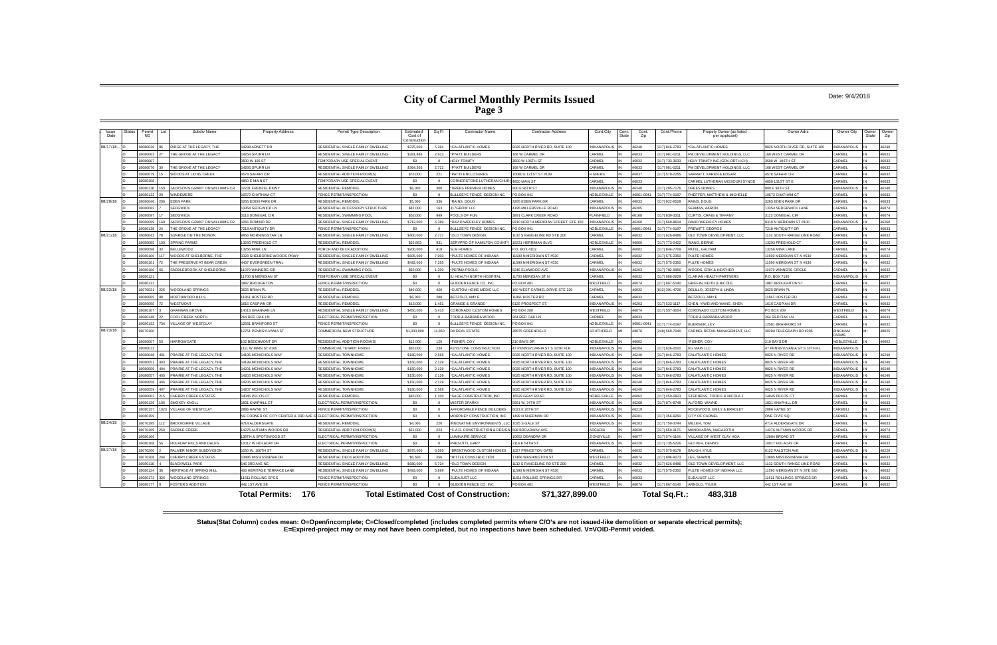### Date: 9/4/2018

**Status(Stat Column) codes mean: O=Open/incomplete; C=Closed/completed (includes completed permits where C/O's are not issued-like demolition or separate electrical permits); E=Expired-project may or may not have been completed, but no inspections have been scheduled. V=VOID-Permit voided.**

| Issue<br>Date | Statu | Permi<br>NO. | Subdiv Name                    | <b>Property Address</b>                                            | Permit Type Description            | Estimated<br>Cost of<br>`onstruction | Sq F           | Contractor Name                                | <b>Contractor Address</b>           | Cont.City           | State | Cont<br>Zip | Cont.Phone           | Propety Owner (as listed<br>per applicant) | Owner Adrs                    | Owner City                     | Owner<br>State | Owner<br>Zip |
|---------------|-------|--------------|--------------------------------|--------------------------------------------------------------------|------------------------------------|--------------------------------------|----------------|------------------------------------------------|-------------------------------------|---------------------|-------|-------------|----------------------|--------------------------------------------|-------------------------------|--------------------------------|----------------|--------------|
| 08/17/18.     |       | 8080036      | RIDGE AT THE LEGACY. THE       | 4298 ARNETT DR                                                     | RESIDENTIAL SINGLE FAMILY DWELLING | \$375,000                            | 5.394          | CALATLANTIC HOMES                              | 9025 NORTH RIVER RD, SUITE 100      | NDIANAPOLIS         |       | 6240        | 317) 846-2783        | <b>CALATLANTIC HOMES</b>                   | 025 NORTH RIVER RD, SUITE 100 | <b>INDIANAPOLIS</b>            |                | 16240        |
|               |       | 18080063     | THE GROVE AT THE LEGACY        | 14254 SPURR LN                                                     | RESIDENTIAL SINGLE FAMILY DWELLING | \$381,486                            | 2.913          | <b>PYATT BUILDERS</b>                          | 168 W CARMEL DR                     | ARMEL               |       | 46033       | (317) 981-0211       | PM DEVELOPMENT HOLDINGS, LLC               | <b>168 WEST CARMEL DR</b>     | CARMEL                         |                | 46032        |
|               |       | 18080067     |                                | 3500 W 106 ST                                                      | TEMPORARY USE SPECIAL EVENT        | \$0                                  |                | <b>OI Y TRINITY</b>                            | 3500 W 106TH ST                     | ARMFI               |       | 6032        | 317) 733-3033        | HOLY TRINITY INC.(GRK.ORTH.CH)             | 3500 W. 106TH ST.             | CARME                          |                | 46032        |
|               |       | 8080076      | THE GROVE AT THE LEGACY        | 4266 SPURR LN                                                      | RESIDENTIAL SINGLE FAMILY DWELLING | \$364.365                            | 2.722          | <b>PYATT BUILDERS</b>                          | 168 W CARMEL DR                     | ARMEL               |       | 6033        | 317) 981-0211        | M DEVELOPMENT HOLDINGS, LLC                | <b>168 WEST CARMEL DR</b>     | CARMEL                         |                | 16032        |
|               |       | 18080079     | WOODS AT LIONS CREEK           | 4578 SAFARI CIR                                                    | RESIDENTIAL ADDITION-ROOM(S        | \$70,000                             | 221            | PATIO ENCLOSURES                               | 10080 E 121ST ST #139               | <b>ISHERS</b>       |       | 46037       | (317) 579-2255       | SARRATT KAREN & EDGAR                      | <b>1578 SAFARI CIR</b>        | CARMEL                         |                | 46032        |
|               |       | 18080108     |                                | 4850 E MAIN ST                                                     | TEMPORARY USE SPECIAL EVENT        | \$0                                  | $\overline{0}$ | ORNERSTONE LUTHERAN CHURO 4850 MAIN ST         |                                     | ARMEL               |       | 16033       |                      | CARMEL LUTHERAN MISSOURI SYNOD             | 4850 131ST ST E               | CARMEL                         |                | 46033        |
|               |       | 18080118     | JACKSON'S GRANT ON WILLIAMS CR | 12231 FRENZEL PKWY                                                 | RESIDENTIAL REMODEL                | \$6,000                              | 300            | DREES PREMIER HOMES                            | 900 F 96TH ST                       | NDIANAPOLIS         |       | 46240       | 317) 295-7176        | DREES HOMES                                | 900 F 96TH ST                 | <b>INDIANAPOLIS</b>            |                | 46240        |
|               |       | 8080123      | <b>WINDEMERE</b>               | 0572 CHATHAM CT                                                    | FENCE PERMIT/INSPECTION            | \$0                                  |                | ULLSEYE FENCE DESIGN INC.                      | <b>PO BOX 941</b>                   | <b>OBLESVILLE</b>   |       | 16061-0941  | 317) 774-0197        | HEFFER, MATTHEW & MICHELLE                 | 10572 CHATHAM C               | CARME                          |                | 16032        |
| 08/20/18      |       | 8080040      | <b>EDEN PARK</b>               | 3265 EDEN PARK DR                                                  | RESIDENTIAL REMODEL                | \$5,000                              | 336            | RAINS, DOUG                                    | 3265 EDEN PARK DR                   | ARMFI               |       | 6033        | 317) 922-6528        | RAINS, DOUG                                | 3265 EDEN PARK DR             | CARMEL                         |                | 46033        |
|               |       | 8080082      | <b>SEDGWICK</b>                | 3354 SEDGWICK LN                                                   | RESIDENTIAL ACCESSORY STRUCTURE    | \$82,000                             | 163            | 17GROW LLC                                     | 4195 MILLERSVILLE ROAD              | NDIANAPOLIS         |       | 6205        |                      | <b>FAMAN AARON</b>                         | <b>13354 SEDGEWICK LANE</b>   | CARMEL                         |                | 46074        |
|               |       | 8080097      | <b>SEDGWICK</b>                | 113 DONEGAL CIF                                                    | RESIDENTIAL SWIMMING POOL          | \$52,000                             | 949            | OOLS OF FUN                                    | 3891 CLARK CREEK ROAD               | LAINFIELD           |       | 6168        | 317) 839-3311        | <b>CURTIS, CRAIG &amp; TIFFANY</b>         | 113 DONEGAL CI                | CARMEL                         |                | 16074        |
|               |       | 8080099      | JACKSON'S GRANT ON WILLIAMS CR | 066 DOMINO DR                                                      | RESIDENTIAL SINGLE FAMILY DWELLING | \$712,000                            | 6.389          | <b>DAVID WEEKLEY HOMES</b>                     | 9310 NORTH MERIDIAN STREET, STE 100 | <b>JDIANAPOLIS</b>  |       | 16260       | 317) 669-8604        | <b>DAVID WEEKLEY HOMES</b>                 | 9310 N MERIDIAN ST #100       | <b>INDIANAPOLIS</b>            |                | 46260        |
|               |       | 18080128     | THE GROVE AT THE LEGACY        | 7218 ANTIQUITY DR                                                  | FENCE PERMIT/INSPECTION            | SO.                                  | $\Omega$       | <b>BULLSEYE FENCE DESIGN INC.</b>              | PO BOX 941                          | <b>JOBLESVILLE</b>  |       | 16061-0941  | (317) 774-0197       | PREWITT, GEORGE                            | <b>7218 ANTIQUITY DR</b>      | CARMEL                         |                | 46033        |
| 08/21/18      |       | 8080042      | SUNRISE ON THE MONON           | <b>856 MORNINGSTAR LN</b>                                          | RESIDENTIAL SINGLE FAMILY DWELLING | \$400,000                            | 2.717          | <b>OLD TOWN DESIGN</b>                         | 1132 S RANGELINE RD STE 200         | ARMEL               |       | :רח         | 317) 626-8486        | <b>ILD TOWN DEVELOPMENT, LLC</b>           | 132 SOUTH RANGE LINE ROAD     | CARME                          |                | 16032        |
|               |       | 18080085     | <b>SPRING FARMS</b>            | 13293 FREEHOLD CT                                                  | <b>RESIDENTIAL REMODEL</b>         | \$20,863                             | 931            | ERVPRO OF HAMILTON COUNTY 15231 HERRIMAN BLVD  |                                     | <b>VOBLESVILLE</b>  |       | 6060        | 317) 773-0422        | <b><i>NANG. BERNE</i></b>                  | 3293 FREEHOLD CT              | CARMEL                         |                | 46032        |
|               |       | 18080098     | <b>BELLEWOOD</b>               | 3256 MINK LN                                                       | PORCH AND DECK ADDITION            | \$200,000                            | 418            | LM HOMES                                       | P.O. BOX 4102                       | ARMEL               |       | 6082        | 317) 846-7709        | ATEL, GAUTAM                               | 13256 MINK LANE               | CARMEL                         |                | 46074        |
|               |       | 18080100     | WOODS AT SHELBORNE. THE        | 3328 SHELBORNE WOODS PKWY                                          | RESIDENTIAL SINGLE FAMILY DWELLING | \$605,000                            | 7.003          | PULTE HOMES OF INDIANA                         | 11590 N MERIDIAN ST #530            | ARMFI               |       | 46032       | 317) 575-2350        | <b>PULTE HOMES</b>                         | 1590 MERIDIAN ST N #530       | CARMEL                         |                | 46032        |
|               |       | 1808010      | THE PRESERVE AT REAR CREEK     | 4437 EVERGREEN TRAIL                                               | RESIDENTIAL SINGLE FAMILY DWELLING | \$492,000                            | 7,255          | PULTE HOMES OF INDIANA                         | 11590 N MERIDIAN ST #530            | <b>ARMFI</b>        |       | 6032        | 317) 575-2350        | UITE HOMES                                 | 1590 MERIDIAN ST N #530       | CARMEL                         |                | 46032        |
|               |       | 18080106     | SADDLEBROOK AT SHELBORNE       | 11979 WINNERS CIR                                                  | RESIDENTIAL SWIMMING POOL          | \$50,000                             | 1,200          | PERMA POOLS                                    | 5245 ELMWOOD AVE                    | NDIANAPOLIS         |       | 46203       | 317) 782-9956        | VOODS, ERIK & HEATHER                      | 1979 WINNERS CIRCLE           | CARMEL                         |                | 46032        |
|               |       | 8080121      |                                | 1700 N MERIDIAN ST                                                 | TEMPORARY USE SPECIAL EVENT        | SO.                                  | $\Omega$       | HEALTH NORTH HOSPITAL                          | 11700 MERIDIAN ST N                 | ARMEI               |       | 16032       | 317) 688-2629        | <b>CLARIAN HEALTH PARTNERS</b>             | P.O. BOX 7195                 | INDIANAPOLIS                   |                | 46207        |
|               |       | 8080131      |                                | 887 BROUGHTON                                                      | FENCE PERMIT/INSPECTION            | \$0                                  |                | LIDDEN FENCE CO, INC                           | <b>PO BOX 481</b>                   | <b>/ESTFIELD</b>    |       | 6074        | 317) 867-5140        | <b>SRIFFIN, KEITH &amp; NICOLE</b>         | 1887 BROUGHTON ST             | CARMEL                         |                | 46032        |
| 08/22/18      |       | 18070031     | <b>WOODLAND SPRINGS</b>        | 3625 BRIAN PL                                                      | <b>RESIDENTIAL REMODEL</b>         | \$40,000                             | 420            | <b>CUSTOM HOME MEDIC LLC</b>                   | 160 WEST CARMEL DRIVE STE 239       | <b>ARMFI</b>        |       | 46032       | 812) 391-4726        | <b>DELILLO, JOSEPH &amp; LINDA</b>         | 3625 BRIAN PI                 | CARMEL                         |                | 46033        |
|               |       | 18080065     | NORTHWOOD HILLS                | 1861 HOSTER RD                                                     | RESIDENTIAL REMODEL                | \$6,000                              | 288            | FTZOLD, AMY F                                  | 11861 HOSTER RD                     | ARMFI               |       | 16033       |                      | <b>BETZOLD, AMY F</b>                      | 11861 HOSTER RD               | CARMEL                         |                | 46033        |
|               |       | 8080095      | <b>WESTMONT</b>                | 616 CASPIAN DR                                                     | RESIDENTIAL REMODEL                | \$15,000                             | 1.451          | <b>RANDE &amp; GRANDE</b>                      | 6125 PROSPECT ST                    | <b>JDIANAPOLIS</b>  |       | 6203        | 317) 523-1117        | CHEN, YIWEI AND WANG, SHEN                 | 1616 CASPIAN DR               | CARMEL                         |                | 16032        |
|               |       | 18080107     | <b>GRANNAN GROVE</b>           | 14015 GRANNAN LN                                                   | RESIDENTIAL SINGLE FAMILY DWELLING | \$450,000                            | 5,415          | ORONADO CUSTOM HOMES                           | PO BOX 209                          | VESTFIELD           |       | 16074       | 317) 557-3004        | CORONADO CUSTOM HOMES                      | PO BOX 209                    | WESTFIELD                      |                | 46074        |
|               |       | 8080148      | COOL CREEK NORTH               | 264 RED OAK LN                                                     | ELECTRICAL PERMIT/INSPECTION       | \$0                                  |                | ODD & BARBARA WOOD                             | 264 RED OAK LN                      | ARMEL               |       | 6033        |                      | <b>TODD &amp; BARBARA WOOD</b>             | 264 RED OAK LN                | CARMEL                         |                | 46033        |
|               |       | 8080152      | <b>VILLAGE OF WESTCLAY</b>     | 2581 BRANFORD ST                                                   | FENCE PERMIT/INSPECTION            | \$0                                  | $\Omega$       | ULLSEYE FENCE DESIGN INC                       | PO BOX 941                          | <b>JOBI ESVILLE</b> |       | 6061-0941   | 317) 774-0197        | <b>IUFRGER LILY</b>                        | 12581 BRANFORD ST             | CARMEL                         |                | 16032        |
| 08/23/18      |       | 8070100      |                                | 12751 PENNSYLVANIA ST                                              | <b>COMMERCIAL NEW STRUCTURI</b>    | \$1,000,000                          | 11,850         | DA REAL ESTATE                                 | 28575 GREENFIELD                    | SOUTHFIELD          |       | 18076       | 248) 569-7040        | CARMEL RETAIL MANAGEMENT, LLC              | 30200 TELEGRAPH RD #205       | <b>BINGHAM</b><br><b>FARMS</b> |                | 48025        |
|               |       | 18080007     | <b>HARROWGATE</b>              | 02 BEECHMONT DR                                                    | RESIDENTIAL ADDITION-ROOM(S)       | \$12,000                             | 120            | <b>FISHER, COY</b>                             | 210 BAYS DR                         | <b>NOBLESVILLE</b>  |       | 46062       |                      | <b>FISHER, COY</b>                         | 210 BAYS DR                   | <b>NOBLESVILLE</b>             |                | 16062        |
|               |       | 18080011     |                                | 1111 W MAIN ST #165                                                | COMMERCIAL TENANT FINISH           | \$30,000                             | 234            | <b>EYSTONE CONSTRUCTION</b>                    | 47 PENNSYLVANIA ST S 10TH FLR       | NDIANAPOLIS         |       | 16204       | (317) 636-2000       | KG MAIN LLC                                | 47 PENNSYLVANIA ST S 10TH FL  | <b>INDIANAPOLIS</b>            |                |              |
|               |       | 18080048     | PRAIRIE AT THE LEGACY. THE     | 14195 MCNICHOLS WAY                                                | <b>RESIDENTIAL TOWNHOME</b>        | \$180,000                            | 2.565          | CALATLANTIC HOMES                              | 9025 NORTH RIVER RD, SUITE 100      | <b>JDIANAPOLIS</b>  |       | 46240       | 317) 846-2783        | CALATLANTIC HOMES                          | 9025 N RIVER RD               | <b>INDIANAPOLIS</b>            |                | 46240        |
|               |       | 8080051      | PRAIRIE AT THE LEGACY. THE     | 4199 MCNICHOLS WAY                                                 | <b>RESIDENTIAL TOWNHOME</b>        | \$150,000                            | 2.129          | CALATLANTIC HOMES                              | 9025 NORTH RIVER RD. SUITE 100      | <b>JDIANAPOLIS</b>  |       | 16240       | 317) 846-2783        | CALATLANTIC HOMES                          | 9025 N RIVER RD               | <b>INDIANAPOLIS</b>            |                | 46240        |
|               |       | 8080056      | PRAIRIE AT THE LEGACY. THE     | 4201 MCNICHOLS WAY                                                 | <b>RESIDENTIAL TOWNHOME</b>        | \$150,000                            | 2.129          | <b>CALATLANTIC HOMES</b>                       | 9025 NORTH RIVER RD, SUITE 100      | <b>JDIANAPOLIS</b>  |       | 6240        | 317) 846-2783        | ALATLANTIC HOMES                           | 025 N RIVER RD                | <b>INDIANAPOLIS</b>            |                | 46240        |
|               |       | 18080057     | PRAIRIE AT THE LEGACY. THE     | 4203 MCNICHOLS WAY                                                 | <b>RESIDENTIAL TOWNHOME</b>        | \$150,000                            | 2.129          | CALATLANTIC HOMES                              | 9025 NORTH RIVER RD, SUITE 100      | <b>JDIANAPOLIS</b>  |       | 46240       | 317) 846-2783        | CALATLANTIC HOMES                          | 9025 N RIVER RD               | <b>INDIANAPOLIS</b>            |                | 46240        |
|               |       | 18080058     | PRAIRIE AT THE LEGACY. THE     | 4205 MCNICHOLS WAY                                                 | <b>RESIDENTIAL TOWNHOME</b>        | \$150,000                            | 2.129          | CALATI ANTIC HOMES                             | 9025 NORTH RIVER RD. SUITE 100      | <b>JDIANAPOLIS</b>  |       | 46240       | 317) 846-2783        | CALATI ANTIC HOMES                         | 9025 N RIVER RD               | <b>INDIANAPOLIS</b>            |                | 46240        |
|               |       | 8080059      | PRAIRIE AT THE LEGACY. THE     | 4207 MCNICHOLS WAY                                                 | RESIDENTIAL TOWNHOM                | \$180,000                            | 2568           | <b>CALATLANTIC HOMES</b>                       | 9025 NORTH RIVER RD SUITE 100       | <b>IDIANAPOLIS</b>  |       | 6240        | 317) 846-2783        | ALATLANTIC HOMES                           | 025 N RIVER RD                | INDIANAPOLIS                   |                | 16240        |
|               |       | \$8008082    | CHERRY CREEK ESTATES           | 14045 PECOS CT                                                     | RESIDENTIAL REMODE                 | \$40,000                             | 1.100          | SAGE CONSTRUCTION, INC.                        | 16529 GRAY ROAD                     | <b>OBELSVILLE</b>   |       | 46062       | 317) 450-0823        | TEPHENS, TODD E & NICOLA J                 | 14045 PECOS CT                | CARMEL                         |                | 46033        |
|               |       | 18080139     | <b>SMOKEY KNOLL</b>            | 1831 KNAPHILL CT                                                   | ELECTRICAL PERMIT/INSPECTION       | \$0                                  | $\Omega$       | <b>IISTER SPARKY</b>                           | 5561 W. 74TH ST                     | NDIANAPOLIS         |       | 16268       | 317) 874-8748        | LFORD, WAYNE                               | <b>1831 KNAPHILL DR</b>       | CARMEL                         |                | 46033        |
|               |       | 18080157     | VILLAGE OF WESTCLAY            | <b>2886 HAYNE ST</b>                                               | FENCE PERMIT/INSPECTION            | \$0                                  | $\Omega$       | FFORDABLE FENCE BUILDERS                       | 6023 E 26TH ST                      | NCIANAPOLIS         |       | 16219       |                      | ROCKWOOD, EMILY & BRADLEY                  | 2886 HAYNE ST                 | CARMELI                        |                | 46032        |
|               |       | 18080159     |                                | NE CORNER OF CITY CENTER & 3RD AVE SI ELECTRICAL PERMIT/INSPECTION |                                    | so.                                  |                | <b>IORPHEY CONSTRUCTION INC</b>                | 1499 N SHERMAN DI                   | NDIANAPOLIS         |       | 46201       | (317) 356-9250       | <b>CITY OF CARME</b>                       | ONE CIVIC SQ                  | CARME                          |                | 16032        |
| 08/24/18      |       | 18070195     | <b>BROOKSHIRE VILLAGE</b>      | 4714 ALDERSGATE                                                    | <b>RESIDENTIAL REMODEL</b>         | \$4,000                              | 220            | NNOVATIVE ENVIRONMENTS, LLC 1025 S GALE ST     |                                     | NDIANAPOLIS         |       | 16203       | 317) 759-3744        | <b>IILLER, TOM</b>                         | 4714 ALDERSGATE DR            | CARMEL                         |                | 46033        |
|               |       | 8070199      | SADDLE CREEK                   | 4276 AUTUMN WOODS DR                                               | RESIDENTIAL ADDITION-ROOM(S)       | \$21,000                             | 223            | C.A.D. CONSTRUCTION & DESIGN, 508 BROADWAY AVE |                                     | <b>RCADIA</b>       |       | 16030       | 317) 650-1175        | <b>JANOHARAN, NAGAJOTHI</b>                | 14276 AUTUMN WOODS DR         | CARMEL                         |                | 46074        |
|               |       | 808016       |                                | 36TH & SPOTSWOOD ST                                                | ELECTRICAL PERMIT/INSPECTION       | \$0                                  |                | <b>IMINAIRE SERVICE</b>                        | 10652 DEANDRA DF                    | <b>IONSVILLE</b>    |       | 6077        | 317) 574-1164        | LLAGE OF WEST CLAY HOA                     | 12884 BROAD ST                | CARMEL                         |                | 16032        |
|               |       | 8080168      | HOLADAY HILLS AND DALES        | 10017 W HOLADAY DR                                                 | ELECTRICAL PERMIT/INSPECTION       | SO.                                  | $\Omega$       | RESUTTI, GARY                                  | 2116 E 54TH ST                      | NDIANAPOLIS         |       | 16220       | 317) 735-5226        | LOVER, DENNIS                              | 10017 HOLADAY DR              | CARMEL                         |                | 46032        |
| 08/27/18      |       | 8070200      | PALMER MINOR SUBDIVISION       | 050 W. 106TH ST                                                    | RESIDENTIAL SINGLE FAMILY DWELLING | \$875,000                            | 8.565          | <b>BRENTWOOD CUSTOM HOMES</b>                  | 1027 PRINCETON GATE                 | ARMFI               |       | 6032        | 317) 575-9178        | <b>AUGH, KYLE</b>                          | <b>6122 RALSTON AVE</b>       | <b>INDIANAPOLIS</b>            |                | 46220        |
|               |       | 8070208      | <b>CHERRY CREEK ESTATES</b>    | 3885 MISSISSNEWA DR                                                | RESIDENTIAL DECK ADDITION          | \$6,500                              | 256            | <b>IITTLE CONSTRUCTION</b>                     | 17466 WASHINGTON ST                 | <b>/ESTFIELD</b>    |       | 6074        | 317) 896-9073        | EE, SHAWN                                  | 3885 MISSISSINEWA DR          | CARMEL                         |                | 16033        |
|               |       | 18080116     | <b>BLACKWELL PARK</b>          | 546 3RD AVE NE                                                     | RESIDENTIAL SINGLE FAMILY DWELLING | \$680,000                            | 5.724          | <b>OLD TOWN DESIGN</b>                         | 1132 S RANGELINE RD STE 200         | ARMFI               |       | 6032        | (317) 626-8486       | <b>OLD TOWN DEVELOPMENT, LLC</b>           | 1132 SOUTH RANGE LINE ROAD    | CARMEL                         |                | 46032        |
|               |       | 18080124     | HERITAGE AT SPRING MILL        | 406 HERITAGE TERRACE LANE                                          | RESIDENTIAL SINGLE FAMILY DWELLING | \$493,000                            | 5,899          | PULTE HOMES OF INDIANA                         | 11590 N MERIDIAN ST #530            | ARMFI               |       | 6032        | 317) 575-2350        | ULTE HOMES OF INDIANA LLC                  | 1590 MERIDIAN ST N STE 530    | CARMEL                         |                | 46032        |
|               |       | 8080173      | <b>WOODLAND SPRINGS</b>        | 11611 ROLLING SPGS                                                 | FENCE PERMIT/INSPECTION            | sn                                   |                | UDAJUST LLC                                    | 11611 ROLLING SPRINGS DR            | ARMEL               |       | 6033        |                      | <b>SUDAJUST LLC</b>                        | 11611 ROLLINGS SPRINGS DR     | CARMEL                         |                | 46033        |
|               |       | 18080177     | <b>FOSTER'S ADDITION</b>       | 442 1ST AVF SF                                                     | FENCE PERMIT/INSPECTION            | sn.                                  |                | LIDDEN FENCE CO. INC                           | <b>PO BOX 481</b>                   | WESTFIELD           |       | 46074       | (317) 867-5140       | ARNOLD. TYLER                              | 442 1ST AVE SE                | CARMEL                         |                | 46032        |
|               |       |              |                                | <b>Total Permits: 176</b>                                          |                                    |                                      |                | <b>Total Estimated Cost of Construction:</b>   | \$71,327,899.00                     |                     |       |             | <b>Total Sq.Ft.:</b> | 483.318                                    |                               |                                |                |              |